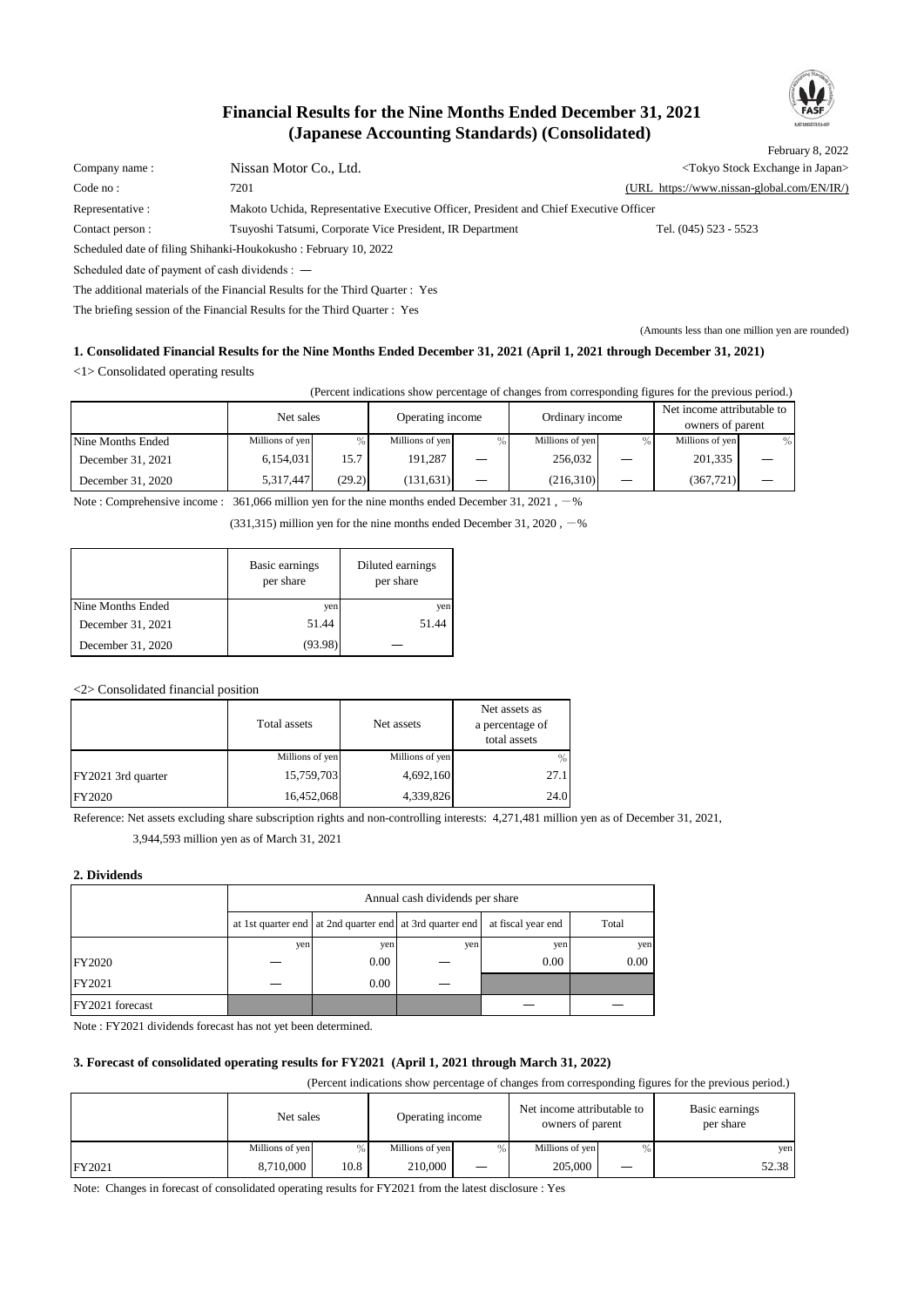# **(Japanese Accounting Standards) (Consolidated) Financial Results for the Nine Months Ended December 31, 2021**



February 8, 2022 Company name : Nissan Motor Co., Ltd.  $\blacksquare$  Nissan Motor Co., Ltd.  $\blacksquare$ Code no : 7201 (URL https://www.nissan-global.com/EN/IR/) Representative : Makoto Uchida, Representative Executive Officer, President and Chief Executive Officer Contact person : Tsuyoshi Tatsumi, Corporate Vice President, IR Department Tel. (045) 523 - 5523 Scheduled date of filing Shihanki-Houkokusho : February 10, 2022 Scheduled date of payment of cash dividends : ― The additional materials of the Financial Results for the Third Quarter : Yes

The briefing session of the Financial Results for the Third Quarter : Yes

(Amounts less than one million yen are rounded)

# **1. Consolidated Financial Results for the Nine Months Ended December 31, 2021 (April 1, 2021 through December 31, 2021)**

<1> Consolidated operating results

(Percent indications show percentage of changes from corresponding figures for the previous period.)

|                   | Net sales       |        | Ordinary income<br>Operating income |      |                 |  | Net income attributable to<br>owners of parent |      |
|-------------------|-----------------|--------|-------------------------------------|------|-----------------|--|------------------------------------------------|------|
| Nine Months Ended | Millions of yen | $\%$   | Millions of yen                     | $\%$ | Millions of yen |  | Millions of yen                                | $\%$ |
| December 31, 2021 | 6,154,031       | 15.7   | 191.287                             |      | 256,032         |  | 201,335                                        |      |
| December 31, 2020 | 5,317,447       | (29.2) | (131, 631)                          |      | (216,310)       |  | (367, 721)                                     |      |

Note : Comprehensive income :  $361,066$  million yen for the nine months ended December 31, 2021,  $-$ %

 $(331,315)$  million yen for the nine months ended December 31, 2020,  $-\%$ 

|                   | Basic earnings<br>per share | Diluted earnings<br>per share |
|-------------------|-----------------------------|-------------------------------|
| Nine Months Ended | yen                         | yen                           |
| December 31, 2021 | 51.44                       | 51.44                         |
| December 31, 2020 | (93.98)                     |                               |

<2> Consolidated financial position

|                    | Total assets    | Net assets      | Net assets as<br>a percentage of<br>total assets |
|--------------------|-----------------|-----------------|--------------------------------------------------|
|                    | Millions of yen | Millions of yen | $\%$                                             |
| FY2021 3rd quarter | 15,759,703      | 4,692,160       | 27.1                                             |
| <b>FY2020</b>      | 16,452,068      | 4,339,826       | 24.0                                             |

Reference: Net assets excluding share subscription rights and non-controlling interests: 4,271,481 million yen as of December 31, 2021,

3,944,593 million yen as of March 31, 2021

#### **2. Dividends**

|                 |     | Annual cash dividends per share                          |                    |       |      |  |  |  |  |
|-----------------|-----|----------------------------------------------------------|--------------------|-------|------|--|--|--|--|
|                 |     | at 1st quarter end at 2nd quarter end at 3rd quarter end | at fiscal year end | Total |      |  |  |  |  |
|                 | yen | yen                                                      | yen                | yen   | yen  |  |  |  |  |
| FY2020          |     | $0.00\,$                                                 |                    | 0.00  | 0.00 |  |  |  |  |
| FY2021          |     | 0.00                                                     |                    |       |      |  |  |  |  |
| FY2021 forecast |     |                                                          |                    |       |      |  |  |  |  |

Note : FY2021 dividends forecast has not yet been determined.

# **3. Forecast of consolidated operating results for FY2021 (April 1, 2021 through March 31, 2022)**

(Percent indications show percentage of changes from corresponding figures for the previous period.)

|        | Net sales       |      | Operating income |      | Net income attributable to<br>owners of parent |  | Basic earnings<br>per share |  |
|--------|-----------------|------|------------------|------|------------------------------------------------|--|-----------------------------|--|
|        | Millions of yen | $\%$ | Millions of yen  | $\%$ | Millions of yen                                |  | yen                         |  |
| FY2021 | 8,710,000       | 10.8 | 210,000          |      | 205,000                                        |  | 52.38                       |  |

Note: Changes in forecast of consolidated operating results for FY2021 from the latest disclosure : Yes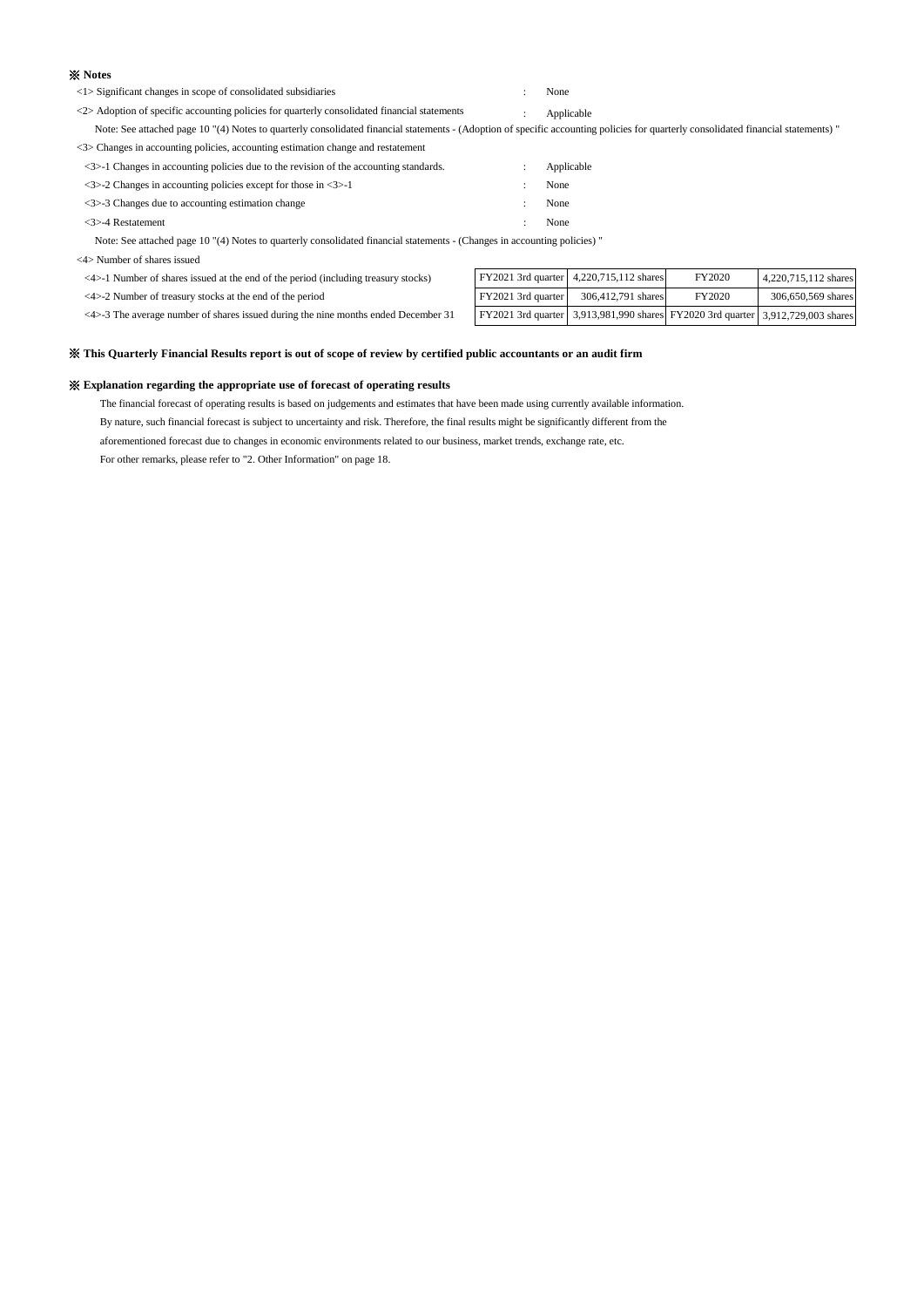#### ※ **Notes**

<1> Significant changes in scope of consolidated subsidiaries : None

<2> Adoption of specific accounting policies for quarterly consolidated financial statements : Applicable

 Note: See attached page 10 "(4) Notes to quarterly consolidated financial statements - (Adoption of specific accounting policies for quarterly consolidated financial statements) "  $\langle 3 \rangle$  Changes in accounting policies, accounting estimation change and restatement

| (55) Changes in accounting policies, accounting estimation change and restatement                      |            |
|--------------------------------------------------------------------------------------------------------|------------|
| $\langle 3 \rangle$ -1 Changes in accounting policies due to the revision of the accounting standards. | Applicable |
| $\langle 3 \rangle$ -2 Changes in accounting policies except for those in $\langle 3 \rangle$ -1       | None       |
| $\langle 3 \rangle$ -3 Changes due to accounting estimation change                                     | None       |
| $\langle 3 \rangle$ -4 Restatement                                                                     | None       |

Note: See attached page 10 "(4) Notes to quarterly consolidated financial statements - (Changes in accounting policies) "

<4> Number of shares issued

| <4>-1 Number of shares issued at the end of the period (including treasury stocks) |  |  |
|------------------------------------------------------------------------------------|--|--|
|------------------------------------------------------------------------------------|--|--|

| $\leq$ 4>-1 Number of shares issued at the end of the period (including treasury stocks)            |                    | FY2021 3rd quarter 4,220,715,112 shares                                         | FY2020 | 4.220.715.112 shares |
|-----------------------------------------------------------------------------------------------------|--------------------|---------------------------------------------------------------------------------|--------|----------------------|
| $\langle 4 \rangle$ -2 Number of treasury stocks at the end of the period                           | FY2021 3rd quarter | 306,412,791 shares                                                              | FY2020 | 306,650,569 shares   |
| $\langle 4 \rangle$ -3 The average number of shares issued during the nine months ended December 31 |                    | FY2021 3rd quarter 3,913,981,990 shares FY2020 3rd quarter 3,912,729,003 shares |        |                      |

#### ※ **This Quarterly Financial Results report is out of scope of review by certified public accountants or an audit firm**

#### ※ **Explanation regarding the appropriate use of forecast of operating results**

The financial forecast of operating results is based on judgements and estimates that have been made using currently available information. By nature, such financial forecast is subject to uncertainty and risk. Therefore, the final results might be significantly different from the

aforementioned forecast due to changes in economic environments related to our business, market trends, exchange rate, etc.

For other remarks, please refer to "2. Other Information" on page 18.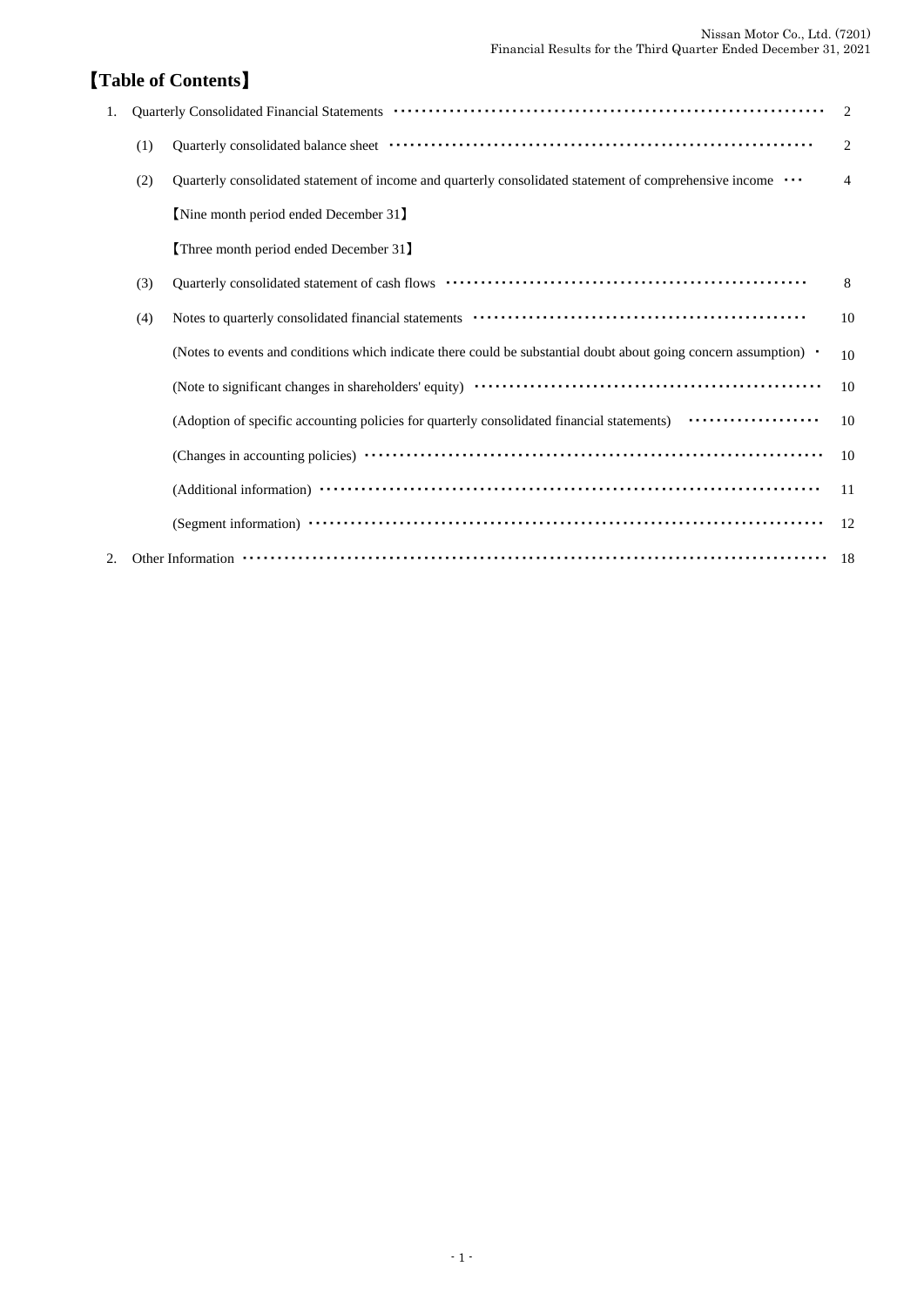# 【**Table of Contents**】

| 1. |     | Quarterly Consolidated Financial Statements (and according to the control of the Consolidated Financial Statements (and according to the control of the Consolidated Financial Statements (according to the control of the Con | $\mathfrak{D}_{\mathfrak{p}}$ |
|----|-----|--------------------------------------------------------------------------------------------------------------------------------------------------------------------------------------------------------------------------------|-------------------------------|
|    | (1) |                                                                                                                                                                                                                                | $\overline{2}$                |
|    | (2) | Quarterly consolidated statement of income and quarterly consolidated statement of comprehensive income                                                                                                                        | 4                             |
|    |     | [Nine month period ended December 31]                                                                                                                                                                                          |                               |
|    |     | [Three month period ended December 31]                                                                                                                                                                                         |                               |
|    | (3) |                                                                                                                                                                                                                                | 8                             |
|    | (4) |                                                                                                                                                                                                                                | 10                            |
|    |     | (Notes to events and conditions which indicate there could be substantial doubt about going concern assumption) •                                                                                                              | 10                            |
|    |     |                                                                                                                                                                                                                                | 10                            |
|    |     | (Adoption of specific accounting policies for quarterly consolidated financial statements) <b>················</b>                                                                                                             | 10                            |
|    |     |                                                                                                                                                                                                                                | 10                            |
|    |     |                                                                                                                                                                                                                                | 11                            |
|    |     |                                                                                                                                                                                                                                | 12                            |
| 2. |     |                                                                                                                                                                                                                                | -18                           |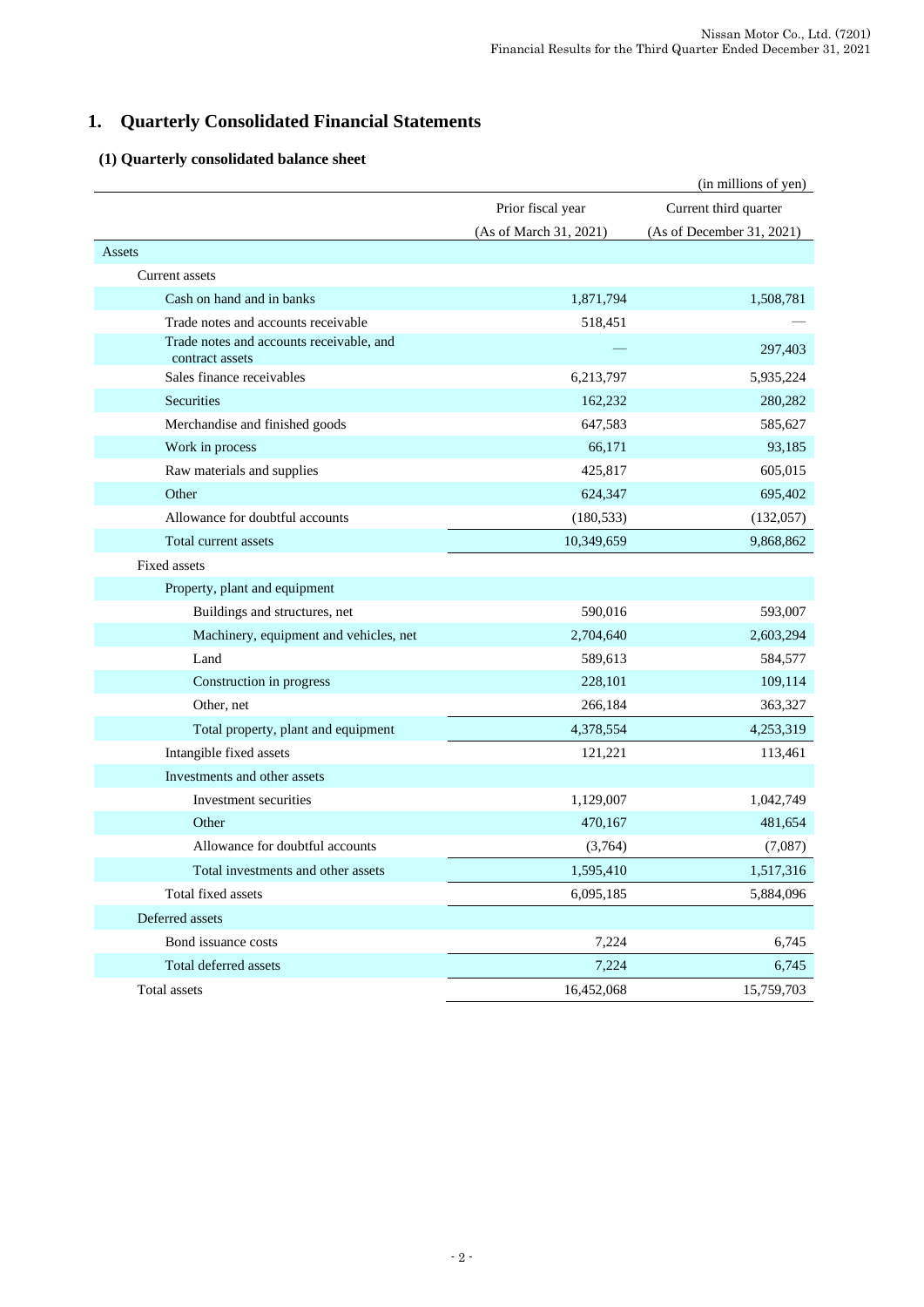# **1. Quarterly Consolidated Financial Statements**

# **(1) Quarterly consolidated balance sheet**

|                                                             |                        | (in millions of yen)      |
|-------------------------------------------------------------|------------------------|---------------------------|
|                                                             | Prior fiscal year      | Current third quarter     |
|                                                             | (As of March 31, 2021) | (As of December 31, 2021) |
| Assets                                                      |                        |                           |
| <b>Current</b> assets                                       |                        |                           |
| Cash on hand and in banks                                   | 1,871,794              | 1,508,781                 |
| Trade notes and accounts receivable                         | 518,451                |                           |
| Trade notes and accounts receivable, and<br>contract assets |                        | 297,403                   |
| Sales finance receivables                                   | 6,213,797              | 5,935,224                 |
| Securities                                                  | 162,232                | 280,282                   |
| Merchandise and finished goods                              | 647,583                | 585,627                   |
| Work in process                                             | 66,171                 | 93,185                    |
| Raw materials and supplies                                  | 425,817                | 605,015                   |
| Other                                                       | 624,347                | 695,402                   |
| Allowance for doubtful accounts                             | (180, 533)             | (132,057)                 |
| Total current assets                                        | 10,349,659             | 9,868,862                 |
| Fixed assets                                                |                        |                           |
| Property, plant and equipment                               |                        |                           |
| Buildings and structures, net                               | 590,016                | 593,007                   |
| Machinery, equipment and vehicles, net                      | 2,704,640              | 2,603,294                 |
| Land                                                        | 589,613                | 584,577                   |
| Construction in progress                                    | 228,101                | 109,114                   |
| Other, net                                                  | 266,184                | 363,327                   |
| Total property, plant and equipment                         | 4,378,554              | 4,253,319                 |
| Intangible fixed assets                                     | 121,221                | 113,461                   |
| Investments and other assets                                |                        |                           |
| Investment securities                                       | 1,129,007              | 1,042,749                 |
| Other                                                       | 470,167                | 481,654                   |
| Allowance for doubtful accounts                             | (3,764)                | (7,087)                   |
| Total investments and other assets                          | 1,595,410              | 1,517,316                 |
| Total fixed assets                                          | 6,095,185              | 5,884,096                 |
| Deferred assets                                             |                        |                           |
| Bond issuance costs                                         | 7,224                  | 6,745                     |
| Total deferred assets                                       | 7,224                  | 6,745                     |
| Total assets                                                | 16,452,068             | 15,759,703                |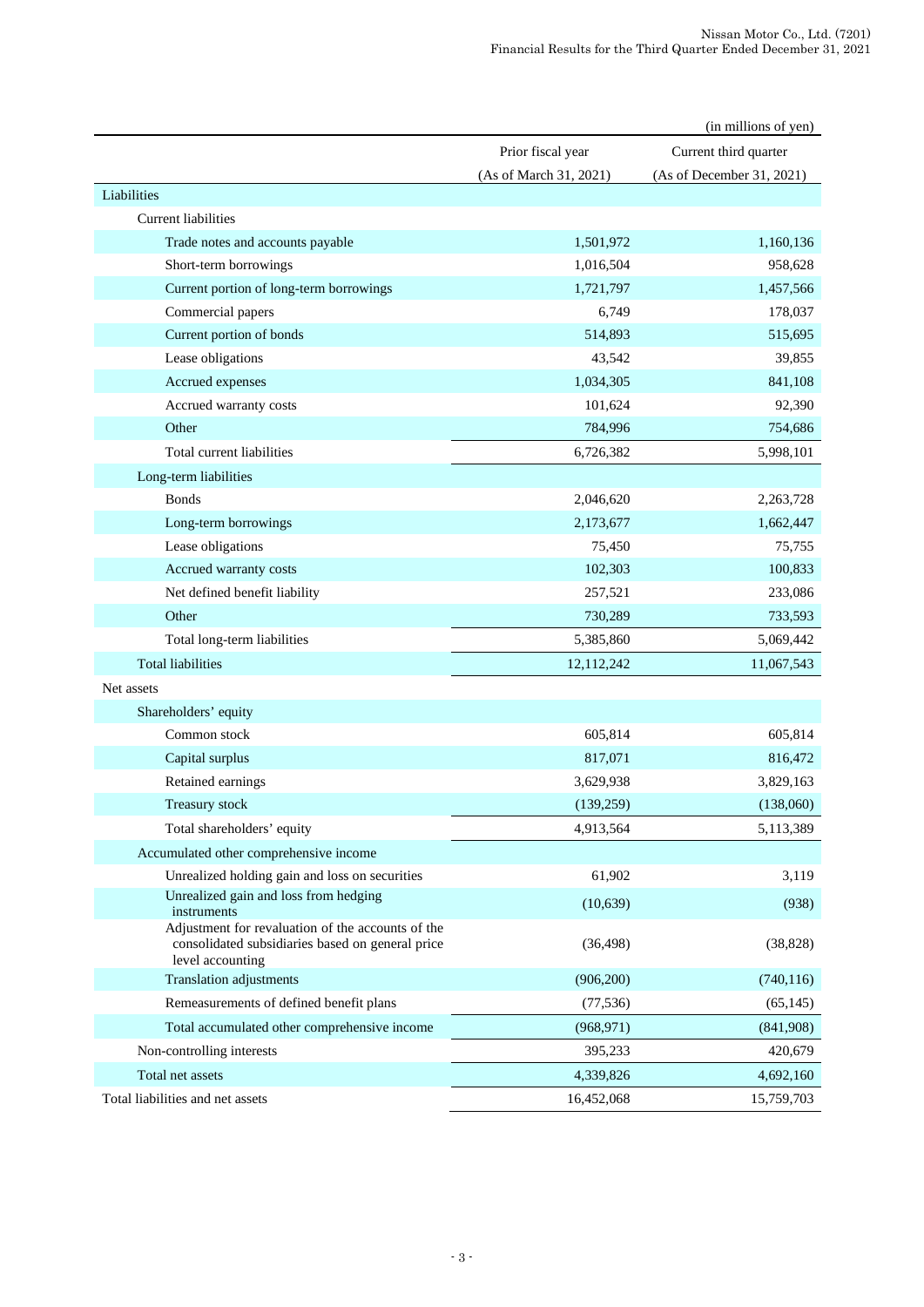|                                                                                                                           |                        | (in millions of yen)      |
|---------------------------------------------------------------------------------------------------------------------------|------------------------|---------------------------|
|                                                                                                                           | Prior fiscal year      | Current third quarter     |
|                                                                                                                           | (As of March 31, 2021) | (As of December 31, 2021) |
| Liabilities                                                                                                               |                        |                           |
| Current liabilities                                                                                                       |                        |                           |
| Trade notes and accounts payable                                                                                          | 1,501,972              | 1,160,136                 |
| Short-term borrowings                                                                                                     | 1,016,504              | 958,628                   |
| Current portion of long-term borrowings                                                                                   | 1,721,797              | 1,457,566                 |
| Commercial papers                                                                                                         | 6,749                  | 178,037                   |
| Current portion of bonds                                                                                                  | 514,893                | 515,695                   |
| Lease obligations                                                                                                         | 43,542                 | 39,855                    |
| Accrued expenses                                                                                                          | 1,034,305              | 841,108                   |
| Accrued warranty costs                                                                                                    | 101,624                | 92,390                    |
| Other                                                                                                                     | 784,996                | 754,686                   |
| Total current liabilities                                                                                                 | 6,726,382              | 5,998,101                 |
| Long-term liabilities                                                                                                     |                        |                           |
| <b>Bonds</b>                                                                                                              | 2,046,620              | 2,263,728                 |
| Long-term borrowings                                                                                                      | 2,173,677              | 1,662,447                 |
| Lease obligations                                                                                                         | 75,450                 | 75,755                    |
| Accrued warranty costs                                                                                                    | 102,303                | 100,833                   |
| Net defined benefit liability                                                                                             | 257,521                | 233,086                   |
| Other                                                                                                                     | 730,289                | 733,593                   |
| Total long-term liabilities                                                                                               | 5,385,860              | 5,069,442                 |
| <b>Total liabilities</b>                                                                                                  | 12,112,242             | 11,067,543                |
| Net assets                                                                                                                |                        |                           |
| Shareholders' equity                                                                                                      |                        |                           |
| Common stock                                                                                                              | 605,814                | 605,814                   |
| Capital surplus                                                                                                           | 817,071                | 816,472                   |
| Retained earnings                                                                                                         | 3,629,938              | 3,829,163                 |
| Treasury stock                                                                                                            | (139, 259)             | (138,060)                 |
| Total shareholders' equity                                                                                                | 4,913,564              | 5,113,389                 |
| Accumulated other comprehensive income                                                                                    |                        |                           |
| Unrealized holding gain and loss on securities                                                                            | 61,902                 | 3,119                     |
| Unrealized gain and loss from hedging<br>instruments                                                                      | (10, 639)              | (938)                     |
| Adjustment for revaluation of the accounts of the<br>consolidated subsidiaries based on general price<br>level accounting | (36, 498)              | (38, 828)                 |
| <b>Translation adjustments</b>                                                                                            | (906, 200)             | (740, 116)                |
| Remeasurements of defined benefit plans                                                                                   | (77, 536)              | (65, 145)                 |
| Total accumulated other comprehensive income                                                                              | (968, 971)             | (841,908)                 |
| Non-controlling interests                                                                                                 | 395,233                | 420,679                   |
| Total net assets                                                                                                          | 4,339,826              | 4,692,160                 |
| Total liabilities and net assets                                                                                          | 16,452,068             | 15,759,703                |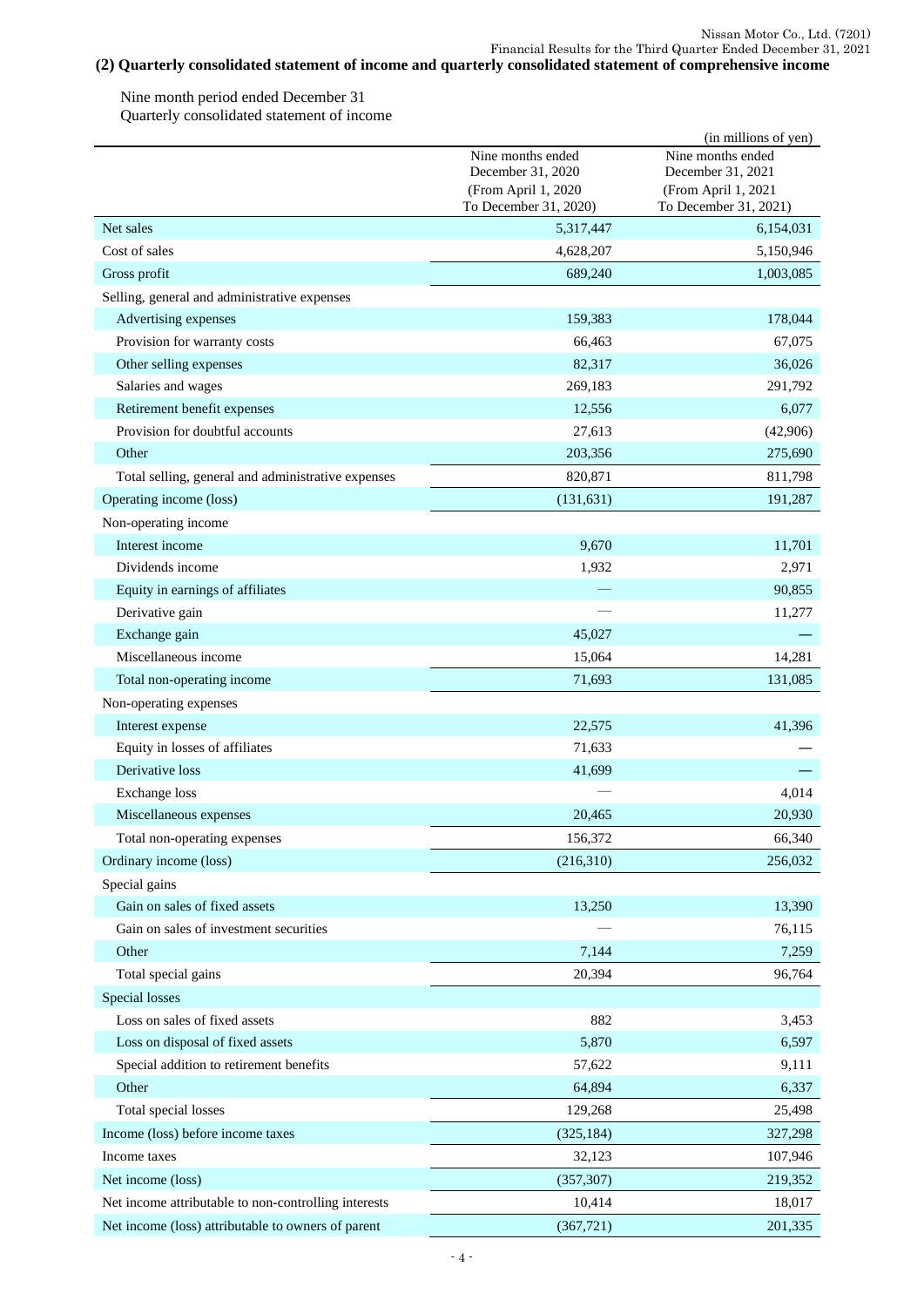#### **(2) Quarterly consolidated statement of income and quarterly consolidated statement of comprehensive income** Nissan Motor Co., Ltd. (7201) Financial Results for the Third Quarter Ended December 31, 2021

Nine month period ended December 31 Quarterly consolidated statement of income

|                                                      |                                              | (in millions of yen)                         |
|------------------------------------------------------|----------------------------------------------|----------------------------------------------|
|                                                      | Nine months ended<br>December 31, 2020       | Nine months ended<br>December 31, 2021       |
|                                                      | (From April 1, 2020<br>To December 31, 2020) | (From April 1, 2021<br>To December 31, 2021) |
| Net sales                                            | 5,317,447                                    | 6,154,031                                    |
| Cost of sales                                        | 4,628,207                                    | 5,150,946                                    |
| Gross profit                                         | 689,240                                      | 1,003,085                                    |
| Selling, general and administrative expenses         |                                              |                                              |
| Advertising expenses                                 | 159,383                                      | 178,044                                      |
| Provision for warranty costs                         | 66,463                                       | 67,075                                       |
| Other selling expenses                               | 82,317                                       | 36,026                                       |
| Salaries and wages                                   | 269,183                                      | 291,792                                      |
| Retirement benefit expenses                          | 12,556                                       | 6,077                                        |
| Provision for doubtful accounts                      | 27,613                                       | (42,906)                                     |
| Other                                                | 203,356                                      | 275,690                                      |
| Total selling, general and administrative expenses   | 820,871                                      | 811,798                                      |
| Operating income (loss)                              | (131, 631)                                   | 191,287                                      |
| Non-operating income                                 |                                              |                                              |
| Interest income                                      | 9,670                                        | 11,701                                       |
| Dividends income                                     | 1,932                                        | 2,971                                        |
| Equity in earnings of affiliates                     |                                              | 90,855                                       |
| Derivative gain                                      |                                              | 11,277                                       |
| Exchange gain                                        | 45,027                                       |                                              |
| Miscellaneous income                                 | 15,064                                       | 14,281                                       |
| Total non-operating income                           | 71,693                                       | 131,085                                      |
| Non-operating expenses                               |                                              |                                              |
| Interest expense                                     | 22,575                                       | 41,396                                       |
| Equity in losses of affiliates                       | 71,633                                       |                                              |
| Derivative loss                                      | 41,699                                       |                                              |
| Exchange loss                                        |                                              | 4,014                                        |
| Miscellaneous expenses                               | 20,465                                       | 20,930                                       |
| Total non-operating expenses                         | 156,372                                      | 66,340                                       |
| Ordinary income (loss)                               | (216,310)                                    | 256,032                                      |
| Special gains                                        |                                              |                                              |
| Gain on sales of fixed assets                        | 13,250                                       | 13,390                                       |
| Gain on sales of investment securities               |                                              | 76,115                                       |
| Other                                                | 7,144                                        | 7,259                                        |
| Total special gains                                  | 20,394                                       | 96,764                                       |
| Special losses                                       |                                              |                                              |
| Loss on sales of fixed assets                        | 882                                          | 3,453                                        |
| Loss on disposal of fixed assets                     | 5,870                                        | 6,597                                        |
| Special addition to retirement benefits              | 57,622                                       | 9,111                                        |
| Other                                                | 64,894                                       | 6,337                                        |
| Total special losses                                 | 129,268                                      | 25,498                                       |
| Income (loss) before income taxes                    | (325, 184)                                   | 327,298                                      |
| Income taxes                                         | 32,123                                       | 107,946                                      |
| Net income (loss)                                    | (357, 307)                                   | 219,352                                      |
| Net income attributable to non-controlling interests | 10,414                                       | 18,017                                       |
| Net income (loss) attributable to owners of parent   | (367, 721)                                   | 201,335                                      |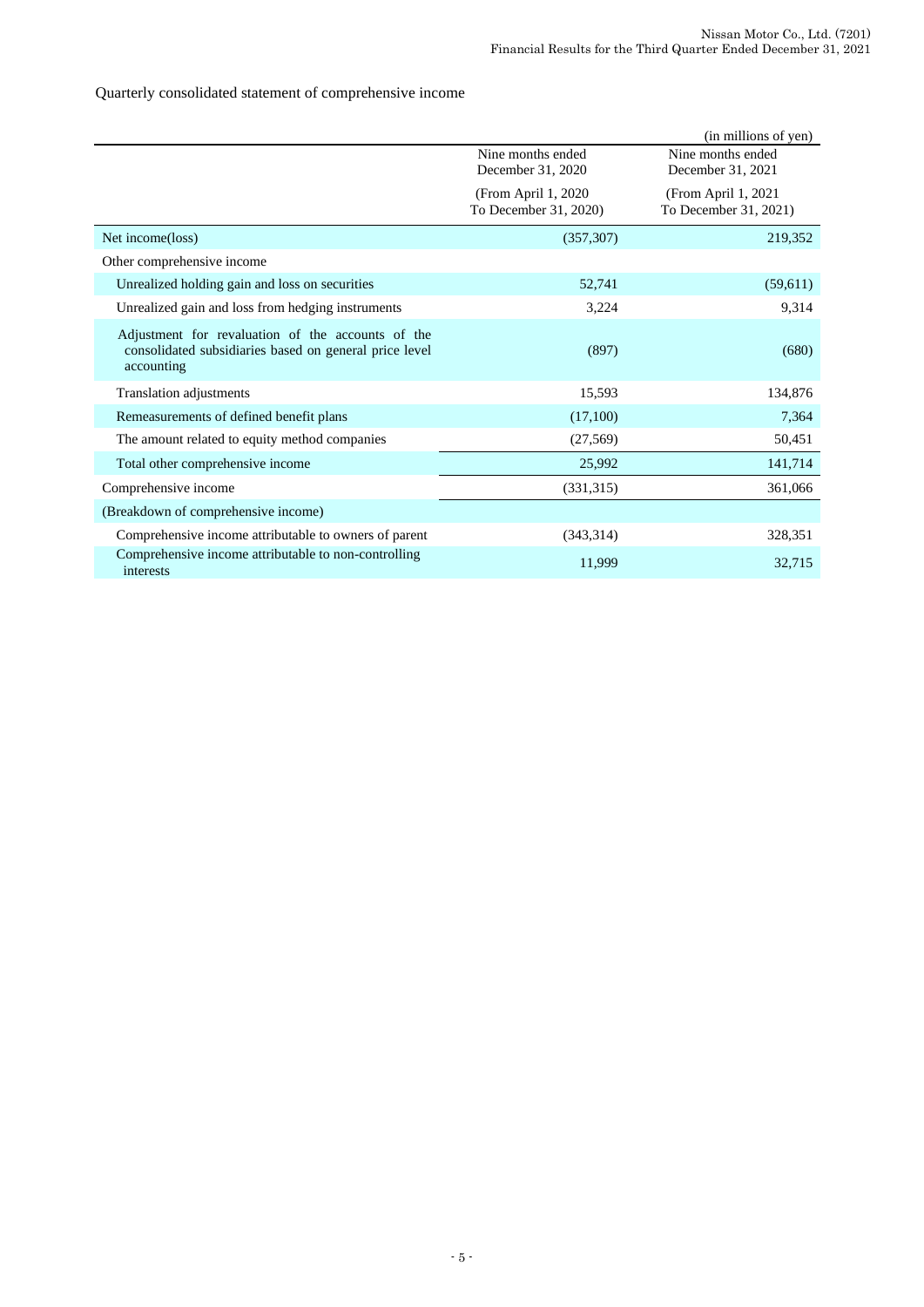# Quarterly consolidated statement of comprehensive income

|                                                                                                                           |                                               | (in millions of yen)                          |
|---------------------------------------------------------------------------------------------------------------------------|-----------------------------------------------|-----------------------------------------------|
|                                                                                                                           | Nine months ended<br>December 31, 2020        | Nine months ended<br>December 31, 2021        |
|                                                                                                                           | (From April 1, 2020)<br>To December 31, 2020) | (From April 1, 2021)<br>To December 31, 2021) |
| Net income(loss)                                                                                                          | (357, 307)                                    | 219,352                                       |
| Other comprehensive income                                                                                                |                                               |                                               |
| Unrealized holding gain and loss on securities                                                                            | 52,741                                        | (59,611)                                      |
| Unrealized gain and loss from hedging instruments                                                                         | 3,224                                         | 9,314                                         |
| Adjustment for revaluation of the accounts of the<br>consolidated subsidiaries based on general price level<br>accounting | (897)                                         | (680)                                         |
| <b>Translation adjustments</b>                                                                                            | 15,593                                        | 134,876                                       |
| Remeasurements of defined benefit plans                                                                                   | (17,100)                                      | 7,364                                         |
| The amount related to equity method companies                                                                             | (27, 569)                                     | 50,451                                        |
| Total other comprehensive income                                                                                          | 25,992                                        | 141,714                                       |
| Comprehensive income                                                                                                      | (331,315)                                     | 361,066                                       |
| (Breakdown of comprehensive income)                                                                                       |                                               |                                               |
| Comprehensive income attributable to owners of parent                                                                     | (343, 314)                                    | 328,351                                       |
| Comprehensive income attributable to non-controlling<br>interests                                                         | 11,999                                        | 32,715                                        |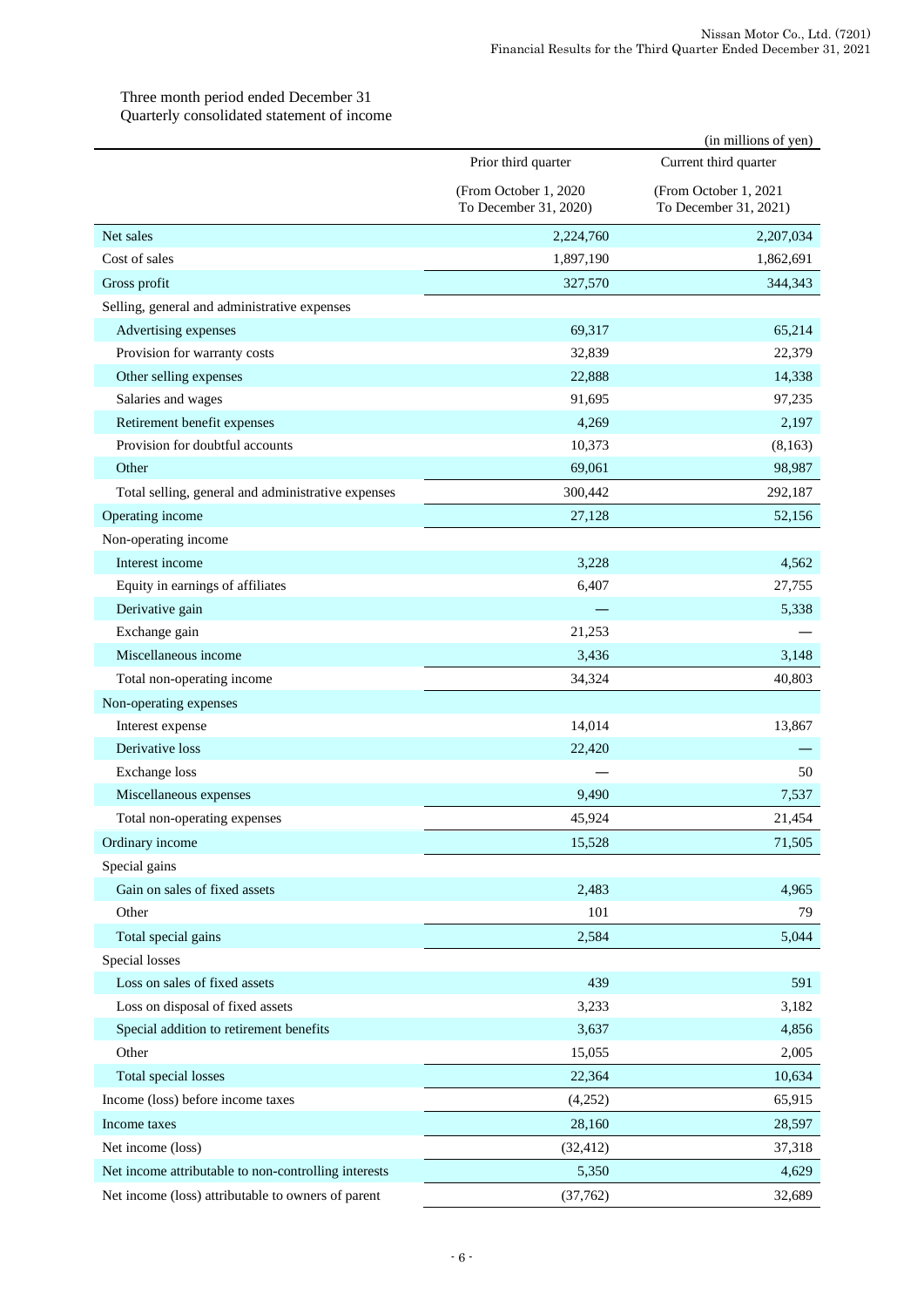# Three month period ended December 31 Quarterly consolidated statement of income

|                                                      |                                                 | (in millions of yen)                           |
|------------------------------------------------------|-------------------------------------------------|------------------------------------------------|
|                                                      | Prior third quarter                             | Current third quarter                          |
|                                                      | (From October 1, 2020)<br>To December 31, 2020) | (From October 1, 2021<br>To December 31, 2021) |
| Net sales                                            | 2,224,760                                       | 2,207,034                                      |
| Cost of sales                                        | 1,897,190                                       | 1,862,691                                      |
| Gross profit                                         | 327,570                                         | 344,343                                        |
| Selling, general and administrative expenses         |                                                 |                                                |
| Advertising expenses                                 | 69,317                                          | 65,214                                         |
| Provision for warranty costs                         | 32,839                                          | 22,379                                         |
| Other selling expenses                               | 22,888                                          | 14,338                                         |
| Salaries and wages                                   | 91,695                                          | 97,235                                         |
| Retirement benefit expenses                          | 4,269                                           | 2,197                                          |
| Provision for doubtful accounts                      | 10,373                                          | (8, 163)                                       |
| Other                                                | 69,061                                          | 98,987                                         |
| Total selling, general and administrative expenses   | 300,442                                         | 292,187                                        |
| Operating income                                     | 27,128                                          | 52,156                                         |
| Non-operating income                                 |                                                 |                                                |
| Interest income                                      | 3,228                                           | 4,562                                          |
| Equity in earnings of affiliates                     | 6,407                                           | 27,755                                         |
| Derivative gain                                      |                                                 | 5,338                                          |
| Exchange gain                                        | 21,253                                          |                                                |
| Miscellaneous income                                 | 3,436                                           | 3,148                                          |
| Total non-operating income                           | 34,324                                          | 40,803                                         |
| Non-operating expenses                               |                                                 |                                                |
| Interest expense                                     | 14,014                                          | 13,867                                         |
| Derivative loss                                      | 22,420                                          |                                                |
| <b>Exchange</b> loss                                 |                                                 | 50                                             |
| Miscellaneous expenses                               | 9,490                                           | 7,537                                          |
| Total non-operating expenses                         | 45,924                                          | 21,454                                         |
| Ordinary income                                      | 15,528                                          | 71,505                                         |
| Special gains                                        |                                                 |                                                |
| Gain on sales of fixed assets                        | 2,483                                           | 4,965                                          |
| Other                                                | 101                                             | 79                                             |
| Total special gains                                  | 2,584                                           | 5,044                                          |
| Special losses                                       |                                                 |                                                |
| Loss on sales of fixed assets                        | 439                                             | 591                                            |
| Loss on disposal of fixed assets                     | 3,233                                           | 3,182                                          |
| Special addition to retirement benefits              | 3,637                                           | 4,856                                          |
| Other                                                | 15,055                                          | 2,005                                          |
| Total special losses                                 | 22,364                                          | 10,634                                         |
| Income (loss) before income taxes                    | (4,252)                                         | 65,915                                         |
| Income taxes                                         | 28,160                                          | 28,597                                         |
| Net income (loss)                                    | (32, 412)                                       | 37,318                                         |
| Net income attributable to non-controlling interests | 5,350                                           | 4,629                                          |
| Net income (loss) attributable to owners of parent   | (37, 762)                                       | 32,689                                         |
|                                                      |                                                 |                                                |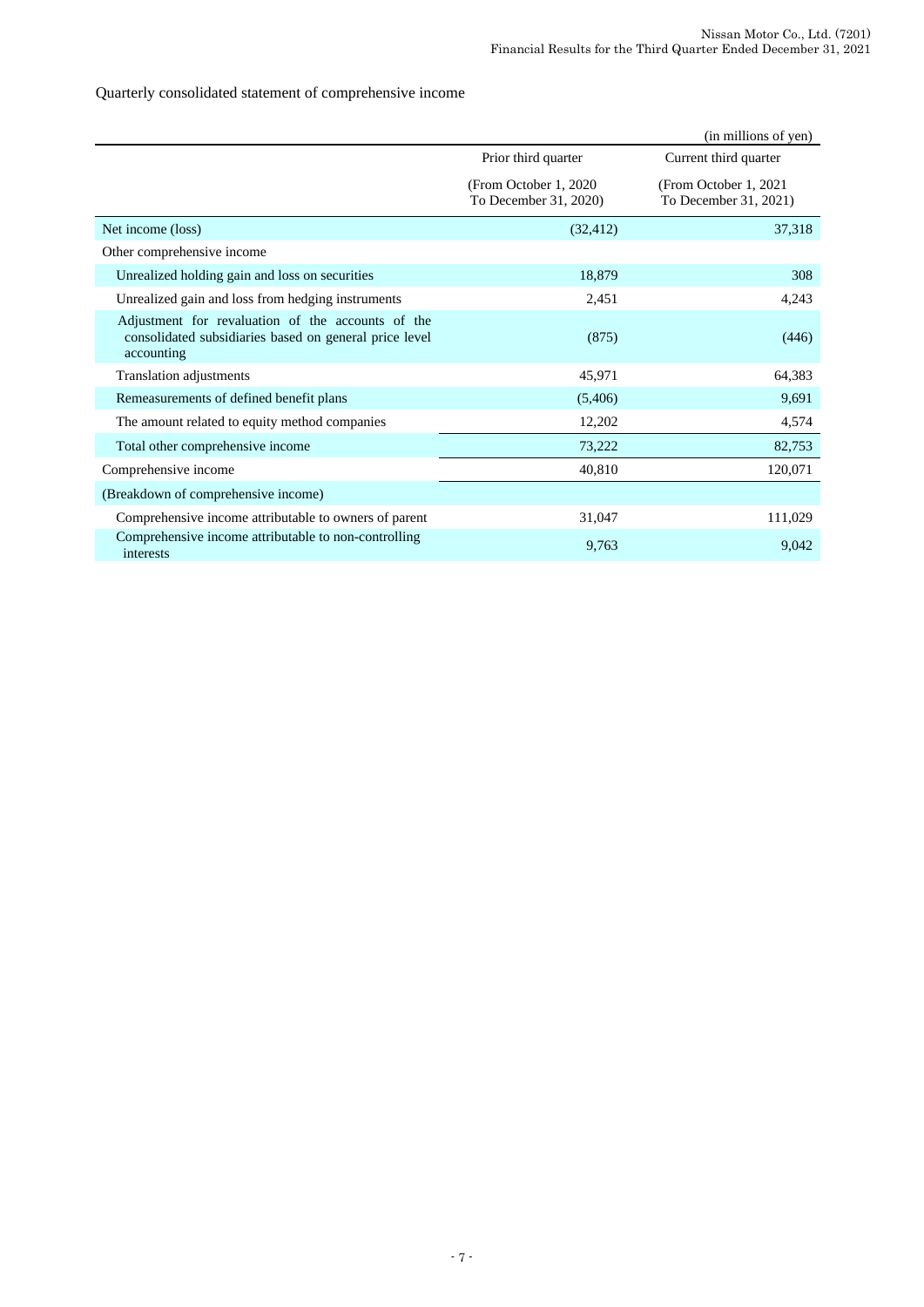# Quarterly consolidated statement of comprehensive income

|                                                                                                                           |                                                 | (in millions of yen)                            |
|---------------------------------------------------------------------------------------------------------------------------|-------------------------------------------------|-------------------------------------------------|
|                                                                                                                           | Prior third quarter                             | Current third quarter                           |
|                                                                                                                           | (From October 1, 2020)<br>To December 31, 2020) | (From October 1, 2021)<br>To December 31, 2021) |
| Net income (loss)                                                                                                         | (32, 412)                                       | 37,318                                          |
| Other comprehensive income                                                                                                |                                                 |                                                 |
| Unrealized holding gain and loss on securities                                                                            | 18,879                                          | 308                                             |
| Unrealized gain and loss from hedging instruments                                                                         | 2,451                                           | 4,243                                           |
| Adjustment for revaluation of the accounts of the<br>consolidated subsidiaries based on general price level<br>accounting | (875)                                           | (446)                                           |
| <b>Translation adjustments</b>                                                                                            | 45,971                                          | 64,383                                          |
| Remeasurements of defined benefit plans                                                                                   | (5,406)                                         | 9,691                                           |
| The amount related to equity method companies                                                                             | 12,202                                          | 4,574                                           |
| Total other comprehensive income                                                                                          | 73,222                                          | 82,753                                          |
| Comprehensive income                                                                                                      | 40,810                                          | 120,071                                         |
| (Breakdown of comprehensive income)                                                                                       |                                                 |                                                 |
| Comprehensive income attributable to owners of parent                                                                     | 31,047                                          | 111,029                                         |
| Comprehensive income attributable to non-controlling<br>interests                                                         | 9,763                                           | 9,042                                           |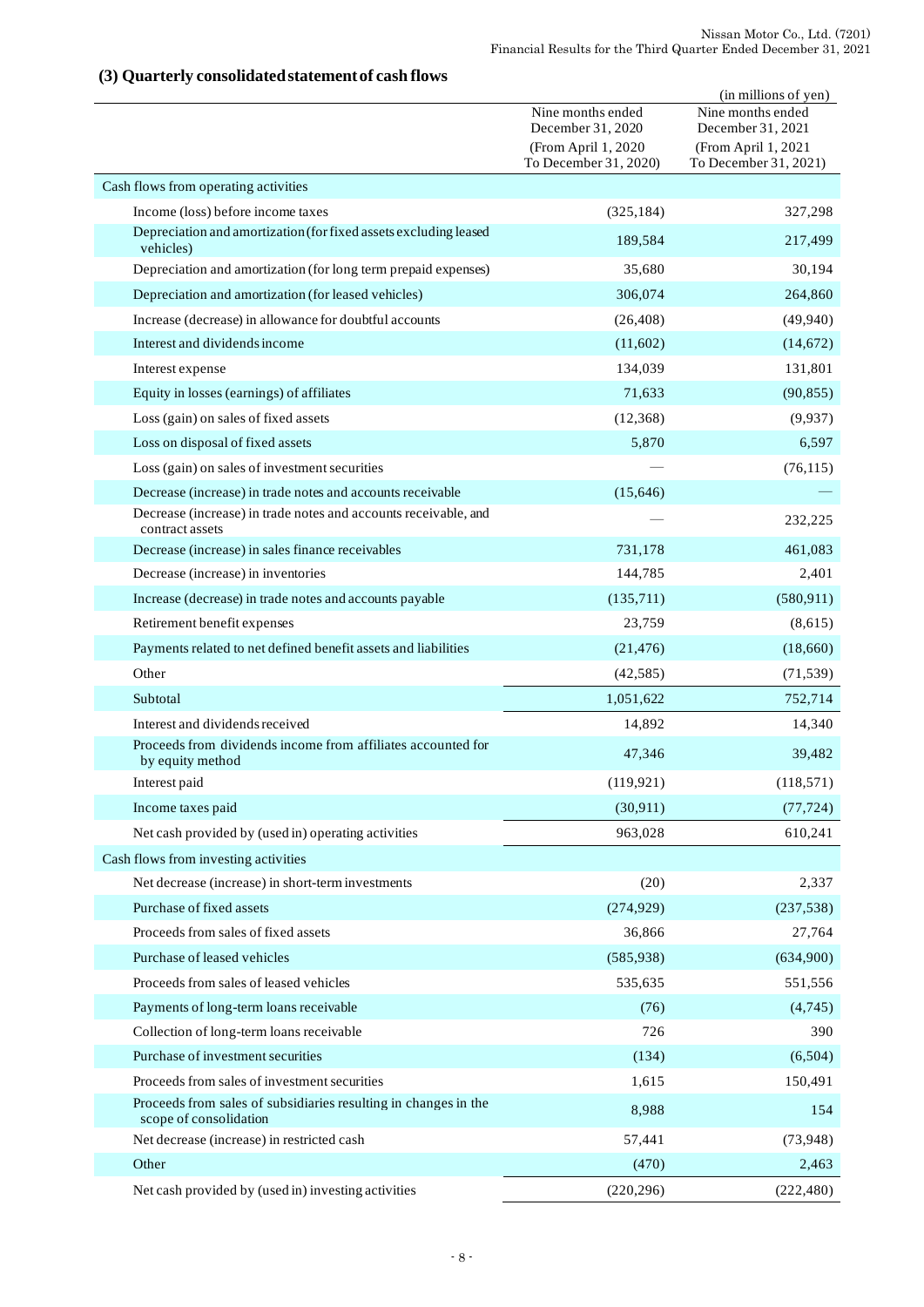# (in millions of yen) Nine months ended December 31, 2020 Nine months ended December 31, 2021 (From April 1, 2020 To December 31, 2020) (From April 1, 2021 To December 31, 2021) Cash flows from operating activities Income (loss) before income taxes (325,184) 327,298 Depreciation and amortization (for fixed assets excluding leased vehicles) and amortization (for fixed assets excitating reased and the set of  $189,584$  and  $217,499$ Depreciation and amortization (for long term prepaid expenses) 35,680 30,194 Depreciation and amortization (for leased vehicles) 306,074 264,860 Increase (decrease) in allowance for doubtful accounts (26,408) (49,940) Interest and dividends income (11,602) (14,672) **Interest expense** 131,801 132,039 131,801 Equity in losses (earnings) of affiliates 71,633 (90,855) Loss (gain) on sales of fixed assets (12,368) (9,937) Loss on disposal of fixed assets 6,597 6,597 6,597 6,597 6,597 6,597 6,597 6,597 6,597 6,597 6,597 6,597 6,597 Loss (gain) on sales of investment securities — (76,115) Decrease (increase) in trade notes and accounts receivable (15,646) ― Decrease (increase) in trade notes and accounts receivable, and — 232,225<br>
contract assets 232,225 Decrease (increase) in sales finance receivables 731,178 461,083 Decrease (increase) in inventories 144,785 2,401 Increase (decrease) in trade notes and accounts payable (135,711) (580,911) (580,911) Retirement benefit expenses 23,759 (8,615) Payments related to net defined benefit assets and liabilities (21,476) (18,660) Other (42,585) (71,539) Subtotal 1,051,622 752,714 Interest and dividends received 14,392 14,340 Proceeds from dividends income from affiliates accounted for by equity method 39,482<br>by equity method 39,482 Interest paid (118,571) (118,571) Income taxes paid  $(30,911)$   $(77,724)$ Net cash provided by (used in) operating activities 963,028 610,241 Cash flows from investing activities Net decrease (increase) in short-term investments (20) 2,337 Purchase of fixed assets (274,929) (237,538) Proceeds from sales of fixed assets 36,866 36,866 27,764 Purchase of leased vehicles (585,938) (634,900) (634,900) Proceeds from sales of leased vehicles 535,635 551,556 Payments of long-term loans receivable (4,745) (4,745) Collection of long-term loans receivable 390 Purchase of investment securities (134) (6,504) Proceeds from sales of investment securities 1,615 150,491 Proceeds from sales of subsidiaries resulting in changes in the 8,988 154 Net decrease (increase) in restricted cash 57,441 (73,948) Other  $(470)$  2,463 Net cash provided by (used in) investing activities (220,296) (220,296) (222,480)

# **(3) Quarterly consolidated statement of cash flows**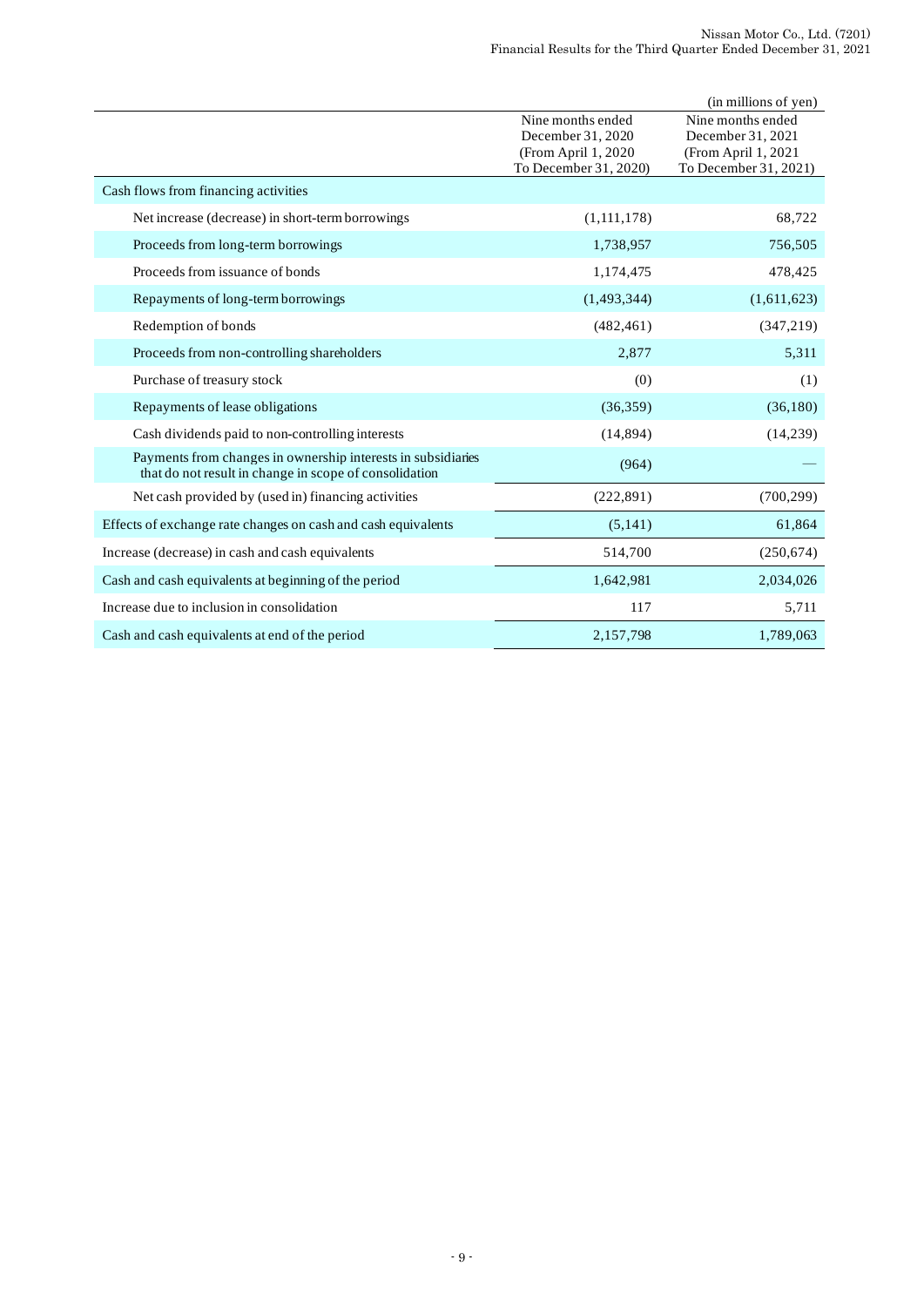|                                                                                                                        |                                                                                         | (in millions of yen)                                                                   |
|------------------------------------------------------------------------------------------------------------------------|-----------------------------------------------------------------------------------------|----------------------------------------------------------------------------------------|
|                                                                                                                        | Nine months ended<br>December 31, 2020<br>(From April 1, 2020)<br>To December 31, 2020) | Nine months ended<br>December 31, 2021<br>(From April 1, 2021<br>To December 31, 2021) |
| Cash flows from financing activities                                                                                   |                                                                                         |                                                                                        |
| Net increase (decrease) in short-term borrowings                                                                       | (1,111,178)                                                                             | 68,722                                                                                 |
| Proceeds from long-term borrowings                                                                                     | 1,738,957                                                                               | 756,505                                                                                |
| Proceeds from issuance of bonds                                                                                        | 1,174,475                                                                               | 478,425                                                                                |
| Repayments of long-term borrowings                                                                                     | (1,493,344)                                                                             | (1,611,623)                                                                            |
| Redemption of bonds                                                                                                    | (482, 461)                                                                              | (347, 219)                                                                             |
| Proceeds from non-controlling shareholders                                                                             | 2,877                                                                                   | 5,311                                                                                  |
| Purchase of treasury stock                                                                                             | (0)                                                                                     | (1)                                                                                    |
| Repayments of lease obligations                                                                                        | (36,359)                                                                                | (36, 180)                                                                              |
| Cash dividends paid to non-controlling interests                                                                       | (14, 894)                                                                               | (14,239)                                                                               |
| Payments from changes in ownership interests in subsidiaries<br>that do not result in change in scope of consolidation | (964)                                                                                   |                                                                                        |
| Net cash provided by (used in) financing activities                                                                    | (222, 891)                                                                              | (700, 299)                                                                             |
| Effects of exchange rate changes on cash and cash equivalents                                                          | (5,141)                                                                                 | 61,864                                                                                 |
| Increase (decrease) in cash and cash equivalents                                                                       | 514,700                                                                                 | (250, 674)                                                                             |
| Cash and cash equivalents at beginning of the period                                                                   | 1,642,981                                                                               | 2,034,026                                                                              |
| Increase due to inclusion in consolidation                                                                             | 117                                                                                     | 5,711                                                                                  |
| Cash and cash equivalents at end of the period                                                                         | 2,157,798                                                                               | 1,789,063                                                                              |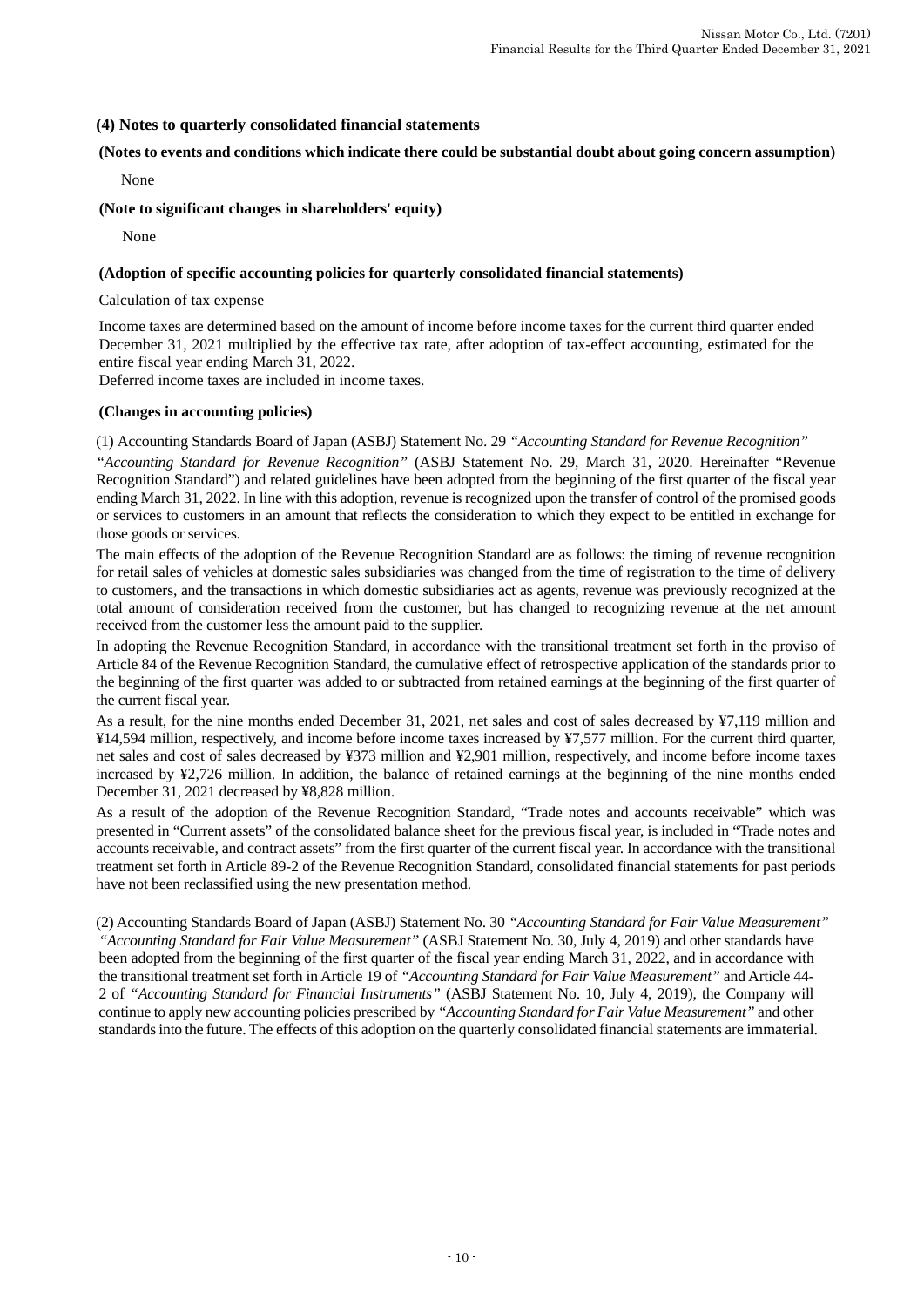### **(4) Notes to quarterly consolidated financial statements**

#### **(Notes to events and conditions which indicate there could be substantial doubt about going concern assumption)**

None

#### **(Note to significant changes in shareholders' equity)**

None

#### **(Adoption of specific accounting policies for quarterly consolidated financial statements)**

Calculation of tax expense

Income taxes are determined based on the amount of income before income taxes for the current third quarter ended December 31, 2021 multiplied by the effective tax rate, after adoption of tax-effect accounting, estimated for the entire fiscal year ending March 31, 2022.

Deferred income taxes are included in income taxes.

#### **(Changes in accounting policies)**

(1) Accounting Standards Board of Japan (ASBJ) Statement No. 29 *"Accounting Standard for Revenue Recognition"*

*"Accounting Standard for Revenue Recognition"* (ASBJ Statement No. 29, March 31, 2020. Hereinafter "Revenue Recognition Standard") and related guidelines have been adopted from the beginning of the first quarter of the fiscal year ending March 31, 2022. In line with this adoption, revenue is recognized upon the transfer of control of the promised goods or services to customers in an amount that reflects the consideration to which they expect to be entitled in exchange for those goods or services.

The main effects of the adoption of the Revenue Recognition Standard are as follows: the timing of revenue recognition for retail sales of vehicles at domestic sales subsidiaries was changed from the time of registration to the time of delivery to customers, and the transactions in which domestic subsidiaries act as agents, revenue was previously recognized at the total amount of consideration received from the customer, but has changed to recognizing revenue at the net amount received from the customer less the amount paid to the supplier.

In adopting the Revenue Recognition Standard, in accordance with the transitional treatment set forth in the proviso of Article 84 of the Revenue Recognition Standard, the cumulative effect of retrospective application of the standards prior to the beginning of the first quarter was added to or subtracted from retained earnings at the beginning of the first quarter of the current fiscal year.

As a result, for the nine months ended December 31, 2021, net sales and cost of sales decreased by ¥7,119 million and ¥14,594 million, respectively, and income before income taxes increased by ¥7,577 million. For the current third quarter, net sales and cost of sales decreased by ¥373 million and ¥2,901 million, respectively, and income before income taxes increased by ¥2,726 million. In addition, the balance of retained earnings at the beginning of the nine months ended December 31, 2021 decreased by ¥8,828 million.

As a result of the adoption of the Revenue Recognition Standard, "Trade notes and accounts receivable" which was presented in "Current assets" of the consolidated balance sheet for the previous fiscal year, is included in "Trade notes and accounts receivable, and contract assets" from the first quarter of the current fiscal year. In accordance with the transitional treatment set forth in Article 89-2 of the Revenue Recognition Standard, consolidated financial statements for past periods have not been reclassified using the new presentation method.

(2) Accounting Standards Board of Japan (ASBJ) Statement No. 30 *"Accounting Standard for Fair Value Measurement" "Accounting Standard for Fair Value Measurement"* (ASBJ Statement No. 30, July 4, 2019) and other standards have been adopted from the beginning of the first quarter of the fiscal year ending March 31, 2022, and in accordance with the transitional treatment set forth in Article 19 of *"Accounting Standard for Fair Value Measurement"* and Article 44- 2 of *"Accounting Standard for Financial Instruments"* (ASBJ Statement No. 10, July 4, 2019), the Company will continue to apply new accounting policies prescribed by *"Accounting Standard for Fair Value Measurement"* and other standards into the future. The effects of this adoption on the quarterly consolidated financial statements are immaterial.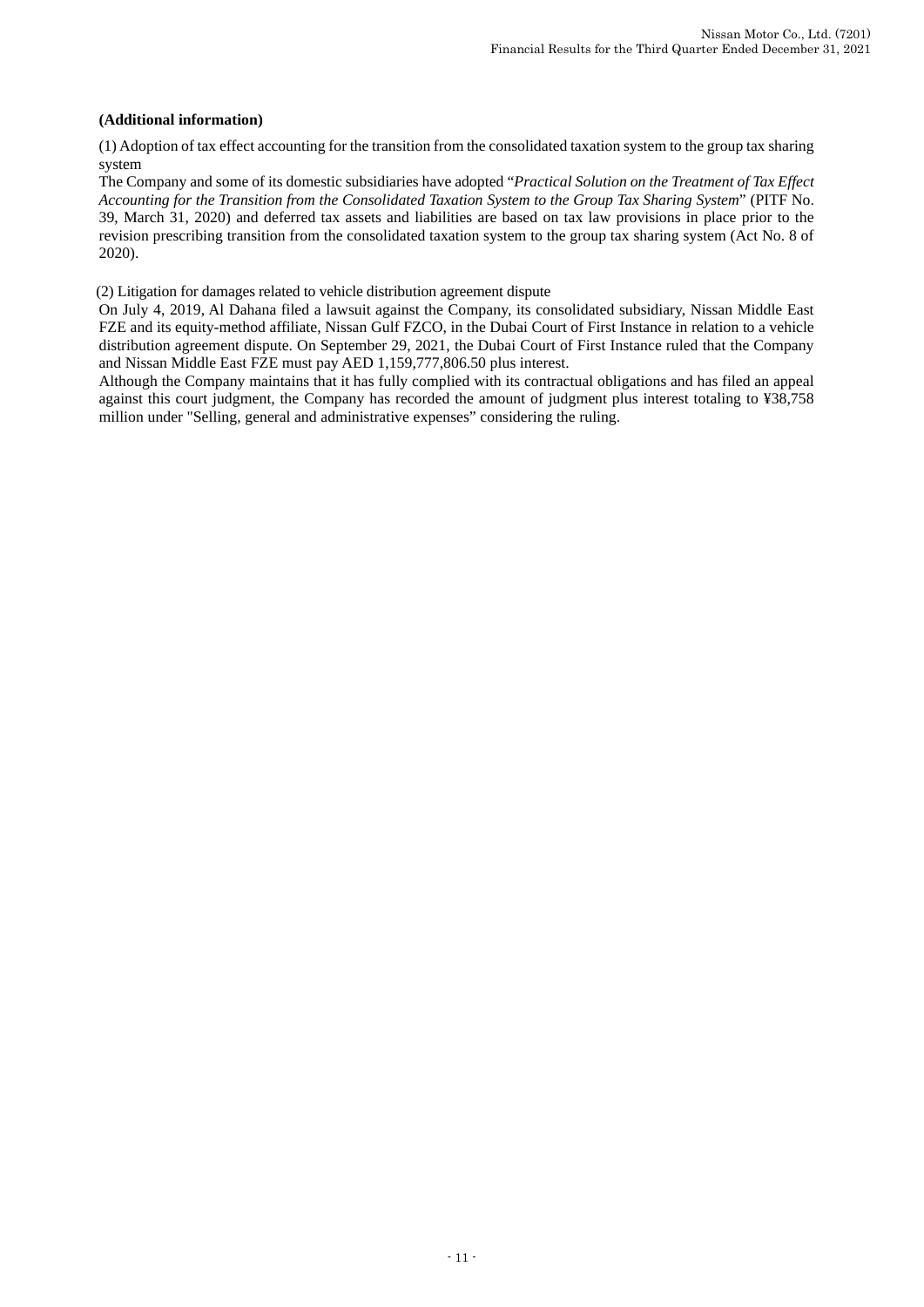#### **(Additional information)**

(1) Adoption of tax effect accounting for the transition from the consolidated taxation system to the group tax sharing system

The Company and some of its domestic subsidiaries have adopted "*Practical Solution on the Treatment of Tax Effect Accounting for the Transition from the Consolidated Taxation System to the Group Tax Sharing System*" (PITF No. 39, March 31, 2020) and deferred tax assets and liabilities are based on tax law provisions in place prior to the revision prescribing transition from the consolidated taxation system to the group tax sharing system (Act No. 8 of 2020).

(2) Litigation for damages related to vehicle distribution agreement dispute

On July 4, 2019, Al Dahana filed a lawsuit against the Company, its consolidated subsidiary, Nissan Middle East FZE and its equity-method affiliate, Nissan Gulf FZCO, in the Dubai Court of First Instance in relation to a vehicle distribution agreement dispute. On September 29, 2021, the Dubai Court of First Instance ruled that the Company and Nissan Middle East FZE must pay AED 1,159,777,806.50 plus interest.

Although the Company maintains that it has fully complied with its contractual obligations and has filed an appeal against this court judgment, the Company has recorded the amount of judgment plus interest totaling to ¥38,758 million under "Selling, general and administrative expenses" considering the ruling.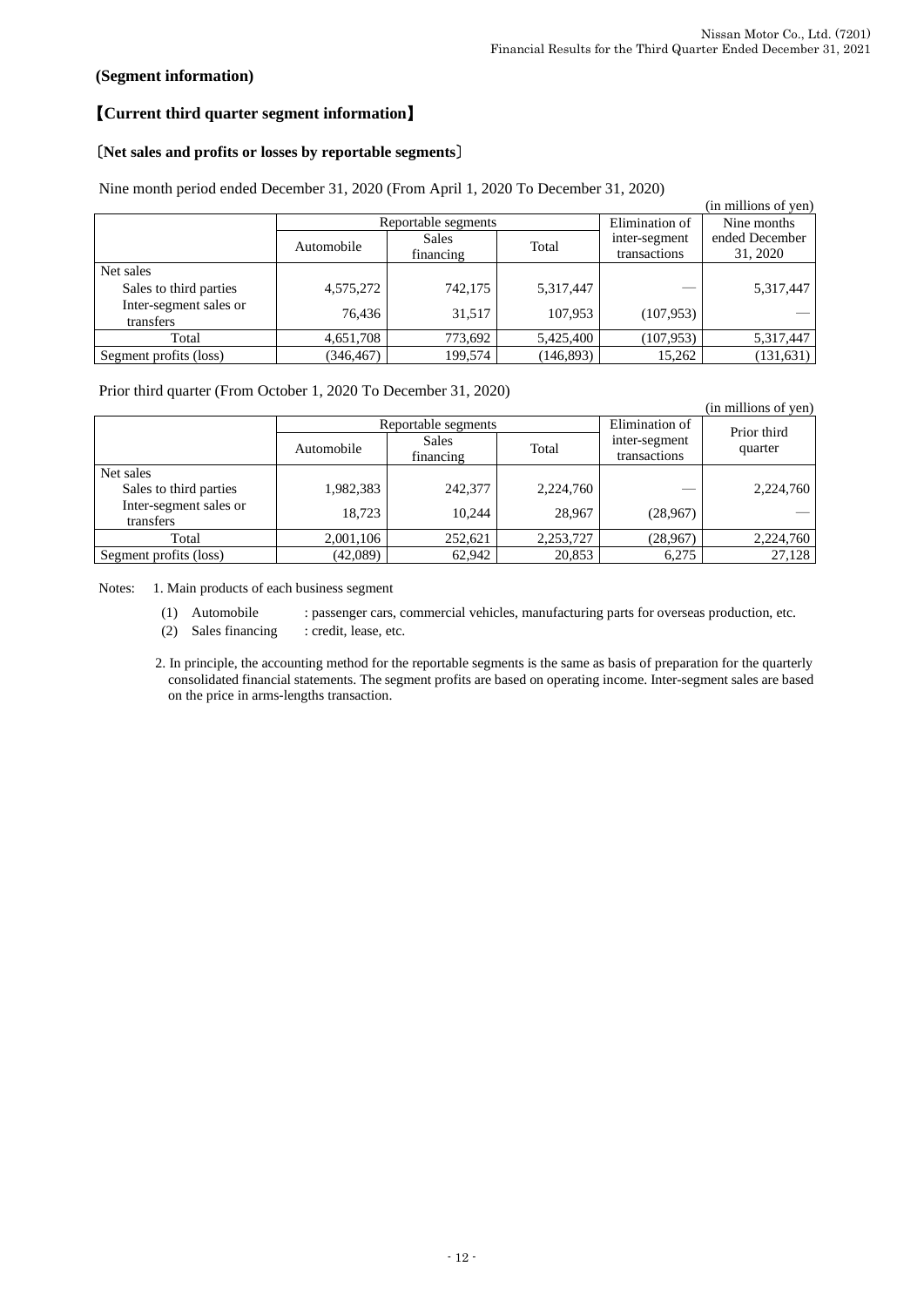# **(Segment information)**

# 【**Current third quarter segment information**】

# 〔**Net sales and profits or losses by reportable segments**〕

|                                     |                                         |                     |                |                               | (in millions of yen)       |  |
|-------------------------------------|-----------------------------------------|---------------------|----------------|-------------------------------|----------------------------|--|
|                                     |                                         | Reportable segments | Elimination of | Nine months                   |                            |  |
|                                     | <b>Sales</b><br>Automobile<br>financing |                     | Total          | inter-segment<br>transactions | ended December<br>31, 2020 |  |
| Net sales                           |                                         |                     |                |                               |                            |  |
| Sales to third parties              | 4,575,272                               | 742,175             | 5,317,447      |                               | 5,317,447                  |  |
| Inter-segment sales or<br>transfers | 76.436                                  | 31.517              | 107.953        | (107, 953)                    |                            |  |
| Total                               | 4,651,708                               | 773,692             | 5,425,400      | (107, 953)                    | 5,317,447                  |  |
| Segment profits (loss)              | (346, 467)                              | 199,574             | (146, 893)     | 15,262                        | (131, 631)                 |  |

Nine month period ended December 31, 2020 (From April 1, 2020 To December 31, 2020)

Prior third quarter (From October 1, 2020 To December 31, 2020)

|                                     |            |                           |           |                               | (in millions of yen)   |  |
|-------------------------------------|------------|---------------------------|-----------|-------------------------------|------------------------|--|
|                                     |            | Reportable segments       |           | Elimination of                | Prior third<br>quarter |  |
|                                     | Automobile | <b>Sales</b><br>financing | Total     | inter-segment<br>transactions |                        |  |
| Net sales                           |            |                           |           |                               |                        |  |
| Sales to third parties              | 1,982,383  | 242,377                   | 2,224,760 |                               | 2,224,760              |  |
| Inter-segment sales or<br>transfers | 18.723     | 10.244                    | 28,967    | (28,967)                      |                        |  |
| Total                               | 2,001,106  | 252,621                   | 2,253,727 | (28,967)                      | 2,224,760              |  |
| Segment profits (loss)              | (42,089)   | 62,942                    | 20,853    | 6,275                         | 27,128                 |  |

Notes: 1. Main products of each business segment

- (1) Automobile : passenger cars, commercial vehicles, manufacturing parts for overseas production, etc.
- (2) Sales financing : credit, lease, etc.

2. In principle, the accounting method for the reportable segments is the same as basis of preparation for the quarterly consolidated financial statements. The segment profits are based on operating income. Inter-segment sales are based on the price in arms-lengths transaction.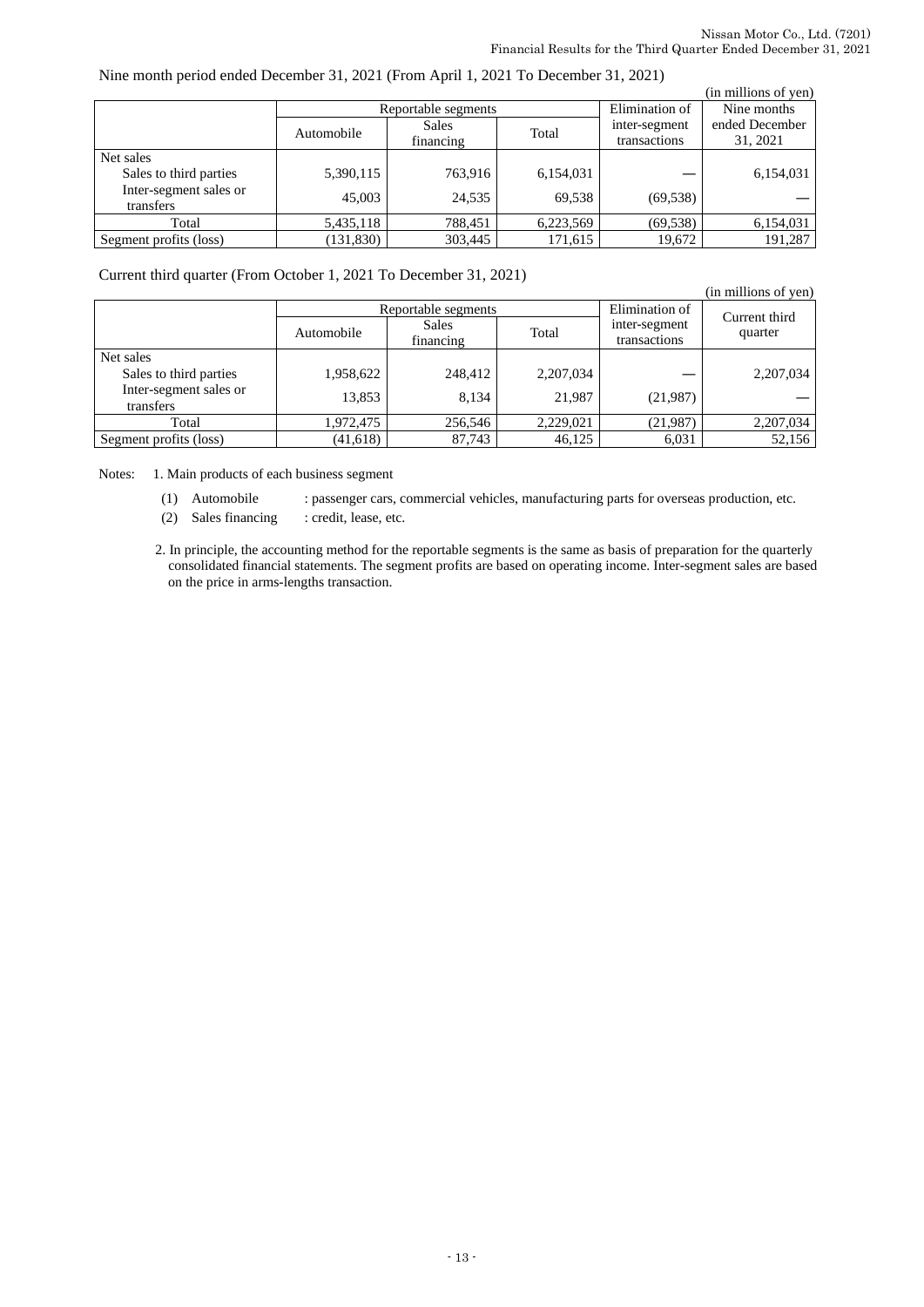### Nine month period ended December 31, 2021 (From April 1, 2021 To December 31, 2021)

|                                     |            |                     |                |               | (in millions of yen) |
|-------------------------------------|------------|---------------------|----------------|---------------|----------------------|
|                                     |            | Reportable segments | Elimination of | Nine months   |                      |
|                                     | Automobile | <b>Sales</b>        | Total          | inter-segment | ended December       |
|                                     |            | financing           |                | transactions  | 31, 2021             |
| Net sales                           |            |                     |                |               |                      |
| Sales to third parties              | 5,390,115  | 763,916             | 6,154,031      |               | 6,154,031            |
| Inter-segment sales or<br>transfers | 45,003     | 24.535              | 69.538         | (69, 538)     |                      |
| Total                               | 5,435,118  | 788.451             | 6,223,569      | (69, 538)     | 6,154,031            |
| Segment profits (loss)              | (131, 830) | 303.445             | 171,615        | 19,672        | 191.287              |

Current third quarter (From October 1, 2021 To December 31, 2021)

| (in millions of yen)                |            |                           |             |                               |                          |  |
|-------------------------------------|------------|---------------------------|-------------|-------------------------------|--------------------------|--|
|                                     |            | Reportable segments       |             | Elimination of                | Current third<br>quarter |  |
|                                     | Automobile | <b>Sales</b><br>financing | Total       | inter-segment<br>transactions |                          |  |
| Net sales                           |            |                           |             |                               |                          |  |
| Sales to third parties              | 1,958,622  | 248,412                   | 2, 207, 034 |                               | 2,207,034                |  |
| Inter-segment sales or<br>transfers | 13,853     | 8,134                     | 21,987      | (21,987)                      |                          |  |
| Total                               | 1,972,475  | 256,546                   | 2,229,021   | (21,987)                      | 2,207,034                |  |
| Segment profits (loss)              | (41, 618)  | 87,743                    | 46,125      | 6,031                         | 52,156                   |  |

Notes: 1. Main products of each business segment

(1) Automobile : passenger cars, commercial vehicles, manufacturing parts for overseas production, etc.

(2) Sales financing : credit, lease, etc.

2. In principle, the accounting method for the reportable segments is the same as basis of preparation for the quarterly consolidated financial statements. The segment profits are based on operating income. Inter-segment sales are based on the price in arms-lengths transaction.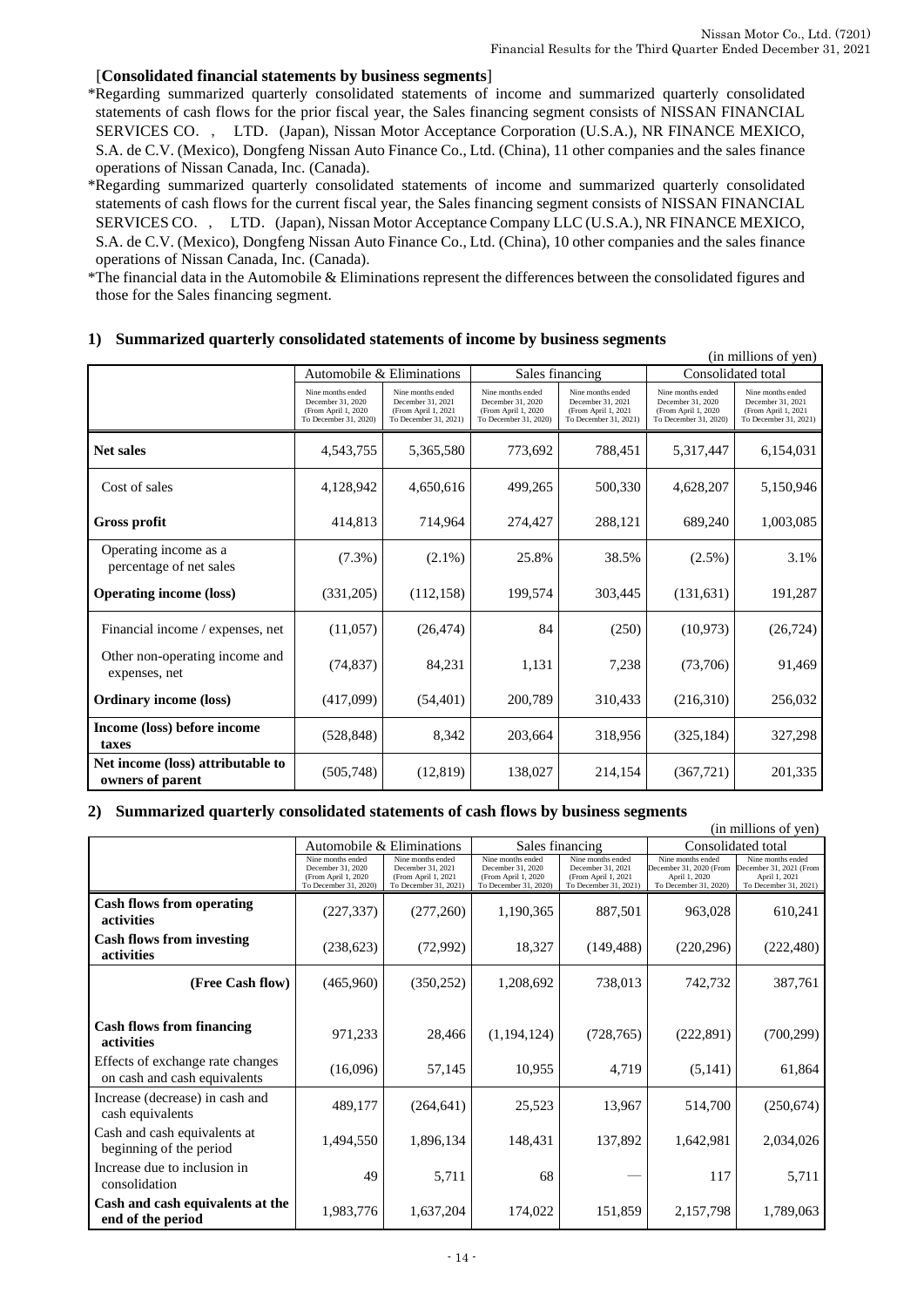(in millions of yen)

#### [**Consolidated financial statements by business segments**]

\*Regarding summarized quarterly consolidated statements of income and summarized quarterly consolidated statements of cash flows for the prior fiscal year, the Sales financing segment consists of NISSAN FINANCIAL SERVICES CO., LTD. (Japan), Nissan Motor Acceptance Corporation (U.S.A.), NR FINANCE MEXICO, S.A. de C.V. (Mexico), Dongfeng Nissan Auto Finance Co., Ltd. (China), 11 other companies and the sales finance operations of Nissan Canada, Inc. (Canada).

\*Regarding summarized quarterly consolidated statements of income and summarized quarterly consolidated statements of cash flows for the current fiscal year, the Sales financing segment consists of NISSAN FINANCIAL SERVICES CO., LTD. (Japan), Nissan Motor Acceptance Company LLC (U.S.A.), NR FINANCE MEXICO, S.A. de C.V. (Mexico), Dongfeng Nissan Auto Finance Co., Ltd. (China), 10 other companies and the sales finance operations of Nissan Canada, Inc. (Canada).

\*The financial data in the Automobile & Eliminations represent the differences between the consolidated figures and those for the Sales financing segment.

|                                                       |                                                                                         | Automobile & Eliminations                                                              |                                                                                         | Sales financing                                                                        | Consolidated total                                                                      |                                                                                        |
|-------------------------------------------------------|-----------------------------------------------------------------------------------------|----------------------------------------------------------------------------------------|-----------------------------------------------------------------------------------------|----------------------------------------------------------------------------------------|-----------------------------------------------------------------------------------------|----------------------------------------------------------------------------------------|
|                                                       | Nine months ended<br>December 31, 2020<br>(From April 1, 2020)<br>To December 31, 2020) | Nine months ended<br>December 31, 2021<br>(From April 1, 2021<br>To December 31, 2021) | Nine months ended<br>December 31, 2020<br>(From April 1, 2020)<br>To December 31, 2020) | Nine months ended<br>December 31, 2021<br>(From April 1, 2021<br>To December 31, 2021) | Nine months ended<br>December 31, 2020<br>(From April 1, 2020)<br>To December 31, 2020) | Nine months ended<br>December 31, 2021<br>(From April 1, 2021<br>To December 31, 2021) |
| <b>Net sales</b>                                      | 4,543,755                                                                               | 5,365,580                                                                              | 773,692                                                                                 | 788,451                                                                                | 5,317,447                                                                               | 6,154,031                                                                              |
| Cost of sales                                         | 4,128,942                                                                               | 4,650,616                                                                              | 499,265                                                                                 | 500,330                                                                                | 4,628,207                                                                               | 5,150,946                                                                              |
| <b>Gross profit</b>                                   | 414,813                                                                                 | 714,964                                                                                | 274,427                                                                                 | 288,121                                                                                | 689,240                                                                                 | 1,003,085                                                                              |
| Operating income as a<br>percentage of net sales      | $(7.3\%)$                                                                               | $(2.1\%)$                                                                              | 25.8%                                                                                   | 38.5%                                                                                  | $(2.5\%)$                                                                               | 3.1%                                                                                   |
| <b>Operating income (loss)</b>                        | (331,205)                                                                               | (112, 158)                                                                             | 199,574                                                                                 | 303,445                                                                                | (131, 631)                                                                              | 191,287                                                                                |
| Financial income / expenses, net                      | (11,057)                                                                                | (26, 474)                                                                              | 84                                                                                      | (250)                                                                                  | (10, 973)                                                                               | (26, 724)                                                                              |
| Other non-operating income and<br>expenses, net       | (74, 837)                                                                               | 84,231                                                                                 | 1,131                                                                                   | 7,238                                                                                  | (73,706)                                                                                | 91,469                                                                                 |
| <b>Ordinary income (loss)</b>                         | (417,099)                                                                               | (54, 401)                                                                              | 200,789                                                                                 | 310,433                                                                                | (216,310)                                                                               | 256,032                                                                                |
| Income (loss) before income<br>taxes                  | (528, 848)                                                                              | 8,342                                                                                  | 203,664                                                                                 | 318,956                                                                                | (325, 184)                                                                              | 327,298                                                                                |
| Net income (loss) attributable to<br>owners of parent | (505,748)                                                                               | (12, 819)                                                                              | 138,027                                                                                 | 214,154                                                                                | (367,721)                                                                               | 201,335                                                                                |

#### **1) Summarized quarterly consolidated statements of income by business segments**

#### **2) Summarized quarterly consolidated statements of cash flows by business segments**

| (in millions of yen)                                             |                                                                                         |                                                                                       |                                                                                         |                                                                                        |                                                                                        |                                                                                        |
|------------------------------------------------------------------|-----------------------------------------------------------------------------------------|---------------------------------------------------------------------------------------|-----------------------------------------------------------------------------------------|----------------------------------------------------------------------------------------|----------------------------------------------------------------------------------------|----------------------------------------------------------------------------------------|
|                                                                  |                                                                                         | Automobile & Eliminations                                                             |                                                                                         | Sales financing                                                                        | Consolidated total                                                                     |                                                                                        |
|                                                                  | Nine months ended<br>December 31, 2020<br>(From April 1, 2020)<br>To December 31, 2020) | Nine months ended<br>December 31, 2021<br>(From April 1, 2021<br>To December 31, 2021 | Nine months ended<br>December 31, 2020<br>(From April 1, 2020)<br>To December 31, 2020) | Nine months ended<br>December 31, 2021<br>(From April 1, 2021<br>To December 31, 2021) | Nine months ended<br>December 31, 2020 (From<br>April 1, 2020<br>To December 31, 2020) | Nine months ended<br>December 31, 2021 (From<br>April 1, 2021<br>To December 31, 2021) |
| <b>Cash flows from operating</b><br>activities                   | (227, 337)                                                                              | (277, 260)                                                                            | 1,190,365                                                                               | 887,501                                                                                | 963,028                                                                                | 610,241                                                                                |
| <b>Cash flows from investing</b><br>activities                   | (238, 623)                                                                              | (72,992)                                                                              | 18,327                                                                                  | (149, 488)                                                                             | (220, 296)                                                                             | (222, 480)                                                                             |
| (Free Cash flow)                                                 | (465,960)                                                                               | (350, 252)                                                                            | 1,208,692                                                                               | 738,013                                                                                | 742,732                                                                                | 387,761                                                                                |
| <b>Cash flows from financing</b><br>activities                   | 971,233                                                                                 | 28,466                                                                                | (1,194,124)                                                                             | (728, 765)                                                                             | (222, 891)                                                                             | (700, 299)                                                                             |
| Effects of exchange rate changes<br>on cash and cash equivalents | (16,096)                                                                                | 57,145                                                                                | 10,955                                                                                  | 4,719                                                                                  | (5,141)                                                                                | 61,864                                                                                 |
| Increase (decrease) in cash and<br>cash equivalents              | 489,177                                                                                 | (264, 641)                                                                            | 25,523                                                                                  | 13,967                                                                                 | 514,700                                                                                | (250, 674)                                                                             |
| Cash and cash equivalents at<br>beginning of the period          | 1,494,550                                                                               | 1,896,134                                                                             | 148,431                                                                                 | 137,892                                                                                | 1,642,981                                                                              | 2,034,026                                                                              |
| Increase due to inclusion in<br>consolidation                    | 49                                                                                      | 5,711                                                                                 | 68                                                                                      |                                                                                        | 117                                                                                    | 5,711                                                                                  |
| Cash and cash equivalents at the<br>end of the period            | 1,983,776                                                                               | 1,637,204                                                                             | 174,022                                                                                 | 151,859                                                                                | 2,157,798                                                                              | 1,789,063                                                                              |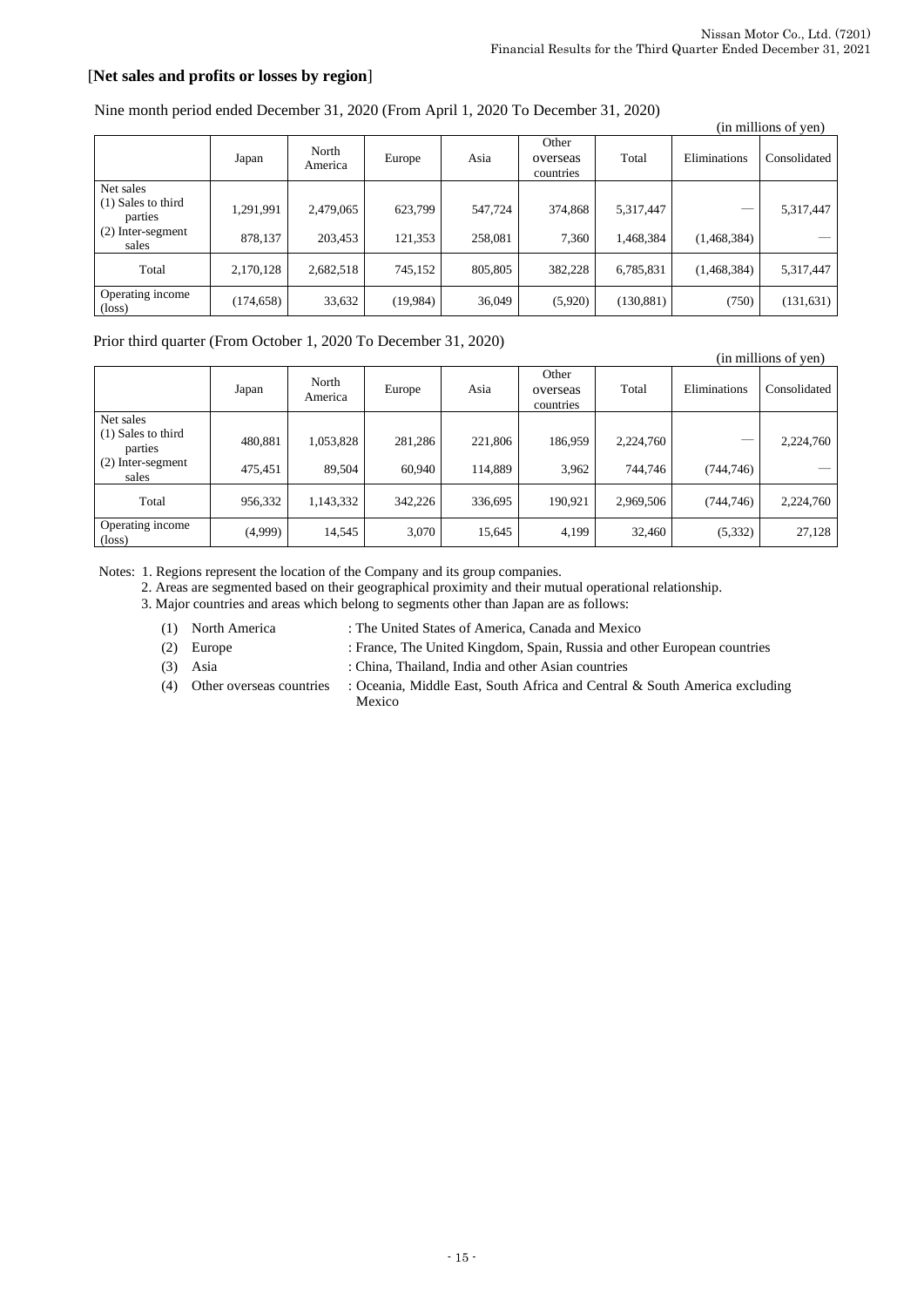# [**Net sales and profits or losses by region**]

|  | Nine month period ended December 31, 2020 (From April 1, 2020 To December 31, 2020) |
|--|-------------------------------------------------------------------------------------|
|--|-------------------------------------------------------------------------------------|

|                                     | (in millions of yen) |                  |           |         |                                |            |              |              |  |
|-------------------------------------|----------------------|------------------|-----------|---------|--------------------------------|------------|--------------|--------------|--|
|                                     | Japan                | North<br>America | Europe    | Asia    | Other<br>overseas<br>countries | Total      | Eliminations | Consolidated |  |
| Net sales                           |                      |                  |           |         |                                |            |              |              |  |
| $(1)$ Sales to third<br>parties     | 1,291,991            | 2,479,065        | 623,799   | 547,724 | 374,868                        | 5,317,447  |              | 5,317,447    |  |
| (2) Inter-segment<br>sales          | 878,137              | 203,453          | 121,353   | 258,081 | 7,360                          | 1,468,384  | (1,468,384)  |              |  |
| Total                               | 2,170,128            | 2,682,518        | 745,152   | 805,805 | 382,228                        | 6,785,831  | (1,468,384)  | 5,317,447    |  |
| Operating income<br>$(\text{loss})$ | (174, 658)           | 33,632           | (19, 984) | 36,049  | (5,920)                        | (130, 881) | (750)        | (131, 631)   |  |

### Prior third quarter (From October 1, 2020 To December 31, 2020)

|                                     |         |                  |         |         |                                |           |              | (in millions of yen) |
|-------------------------------------|---------|------------------|---------|---------|--------------------------------|-----------|--------------|----------------------|
|                                     | Japan   | North<br>America | Europe  | Asia    | Other<br>overseas<br>countries | Total     | Eliminations | Consolidated         |
| Net sales                           |         |                  |         |         |                                |           |              |                      |
| $(1)$ Sales to third<br>parties     | 480,881 | 1,053,828        | 281,286 | 221,806 | 186,959                        | 2,224,760 |              | 2,224,760            |
| $(2)$ Inter-segment<br>sales        | 475,451 | 89.504           | 60.940  | 114,889 | 3,962                          | 744.746   | (744, 746)   |                      |
| Total                               | 956,332 | 1,143,332        | 342.226 | 336,695 | 190.921                        | 2,969,506 | (744, 746)   | 2,224,760            |
| Operating income<br>$(\text{loss})$ | (4,999) | 14,545           | 3,070   | 15,645  | 4,199                          | 32,460    | (5, 332)     | 27,128               |

Notes: 1. Regions represent the location of the Company and its group companies.

2. Areas are segmented based on their geographical proximity and their mutual operational relationship.

3. Major countries and areas which belong to segments other than Japan are as follows:

- (1) North America : The United States of America, Canada and Mexico
- (2) Europe : France, The United Kingdom, Spain, Russia and other European countries
- (3) Asia : China, Thailand, India and other Asian countries
- (4) Other overseas countries : Oceania, Middle East, South Africa and Central & South America excluding Mexico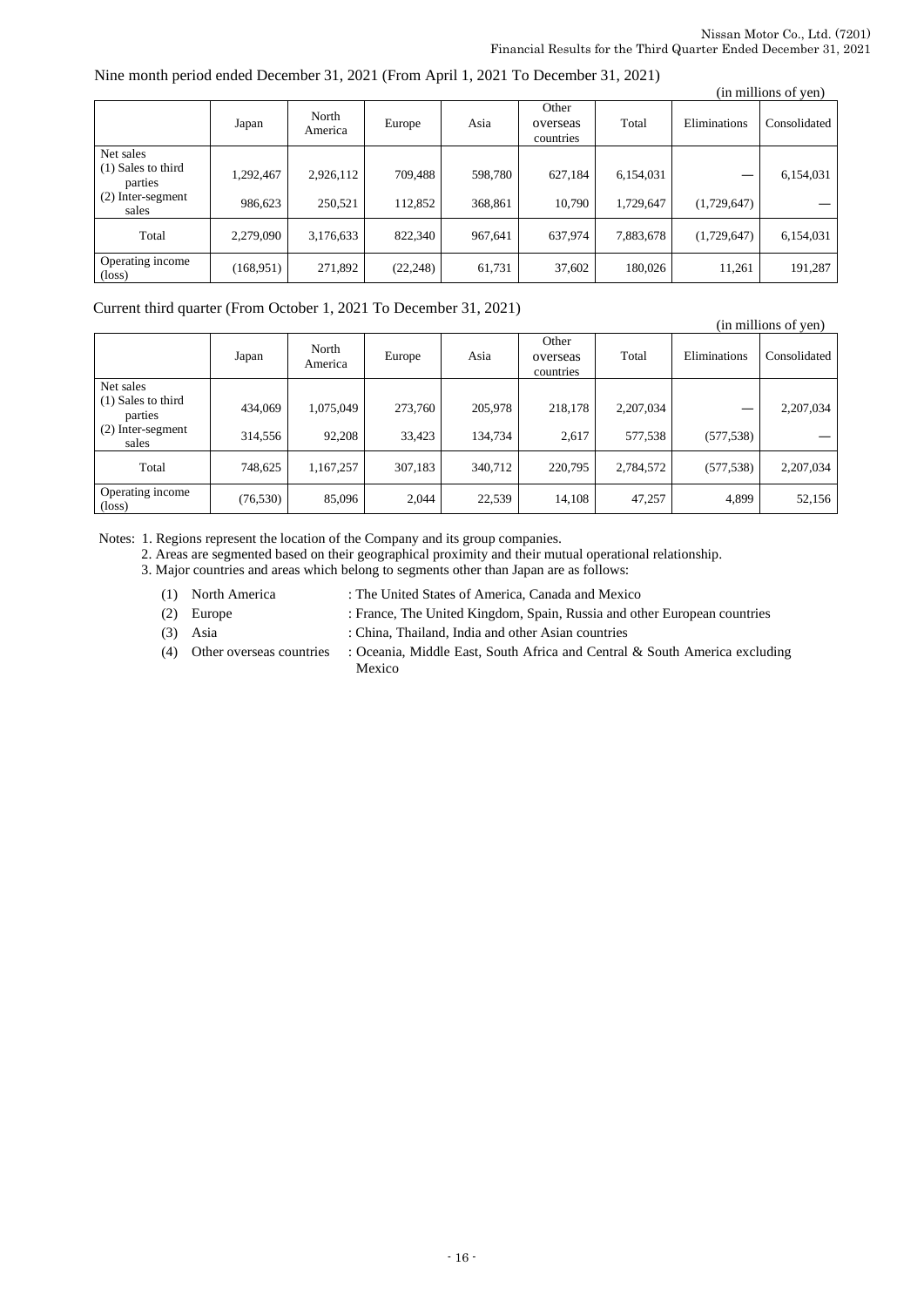#### Nine month period ended December 31, 2021 (From April 1, 2021 To December 31, 2021)

| 11.1110 111011111 period ended Beechlott ca, 2021 (120111 1.1pm 1., 2021 -10 Beechlott ca, 2021) |            |                  |           |         |                                |           |              | (in millions of yen) |
|--------------------------------------------------------------------------------------------------|------------|------------------|-----------|---------|--------------------------------|-----------|--------------|----------------------|
|                                                                                                  | Japan      | North<br>America | Europe    | Asia    | Other<br>overseas<br>countries | Total     | Eliminations | Consolidated         |
| Net sales                                                                                        |            |                  |           |         |                                |           |              |                      |
| $(1)$ Sales to third<br>parties                                                                  | 1,292,467  | 2,926,112        | 709,488   | 598.780 | 627,184                        | 6,154,031 |              | 6,154,031            |
| (2) Inter-segment<br>sales                                                                       | 986,623    | 250,521          | 112,852   | 368,861 | 10,790                         | 1,729,647 | (1,729,647)  |                      |
| Total                                                                                            | 2,279,090  | 3,176,633        | 822,340   | 967,641 | 637,974                        | 7,883,678 | (1,729,647)  | 6,154,031            |
| Operating income<br>$(\text{loss})$                                                              | (168, 951) | 271,892          | (22, 248) | 61,731  | 37,602                         | 180,026   | 11.261       | 191,287              |

Current third quarter (From October 1, 2021 To December 31, 2021)

|                                 |           |                  |         |         |                                |           |              | (in millions of yen) |
|---------------------------------|-----------|------------------|---------|---------|--------------------------------|-----------|--------------|----------------------|
|                                 | Japan     | North<br>America | Europe  | Asia    | Other<br>overseas<br>countries | Total     | Eliminations | Consolidated         |
| Net sales                       |           |                  |         |         |                                |           |              |                      |
| $(1)$ Sales to third<br>parties | 434,069   | 1,075,049        | 273,760 | 205,978 | 218,178                        | 2,207,034 |              | 2,207,034            |
| (2) Inter-segment<br>sales      | 314,556   | 92,208           | 33,423  | 134,734 | 2,617                          | 577,538   | (577, 538)   |                      |
| Total                           | 748,625   | 1,167,257        | 307,183 | 340,712 | 220,795                        | 2,784,572 | (577, 538)   | 2,207,034            |
| Operating income<br>(loss)      | (76, 530) | 85,096           | 2,044   | 22,539  | 14,108                         | 47,257    | 4,899        | 52,156               |

Notes: 1. Regions represent the location of the Company and its group companies.

2. Areas are segmented based on their geographical proximity and their mutual operational relationship.

3. Major countries and areas which belong to segments other than Japan are as follows:

- (1) North America : The United States of America, Canada and Mexico
- (2) Europe : France, The United Kingdom, Spain, Russia and other European countries
- 
- (3) Asia : China, Thailand, India and other Asian countries
- (4) Other overseas countries : Oceania, Middle East, South Africa and Central & South America excluding Mexico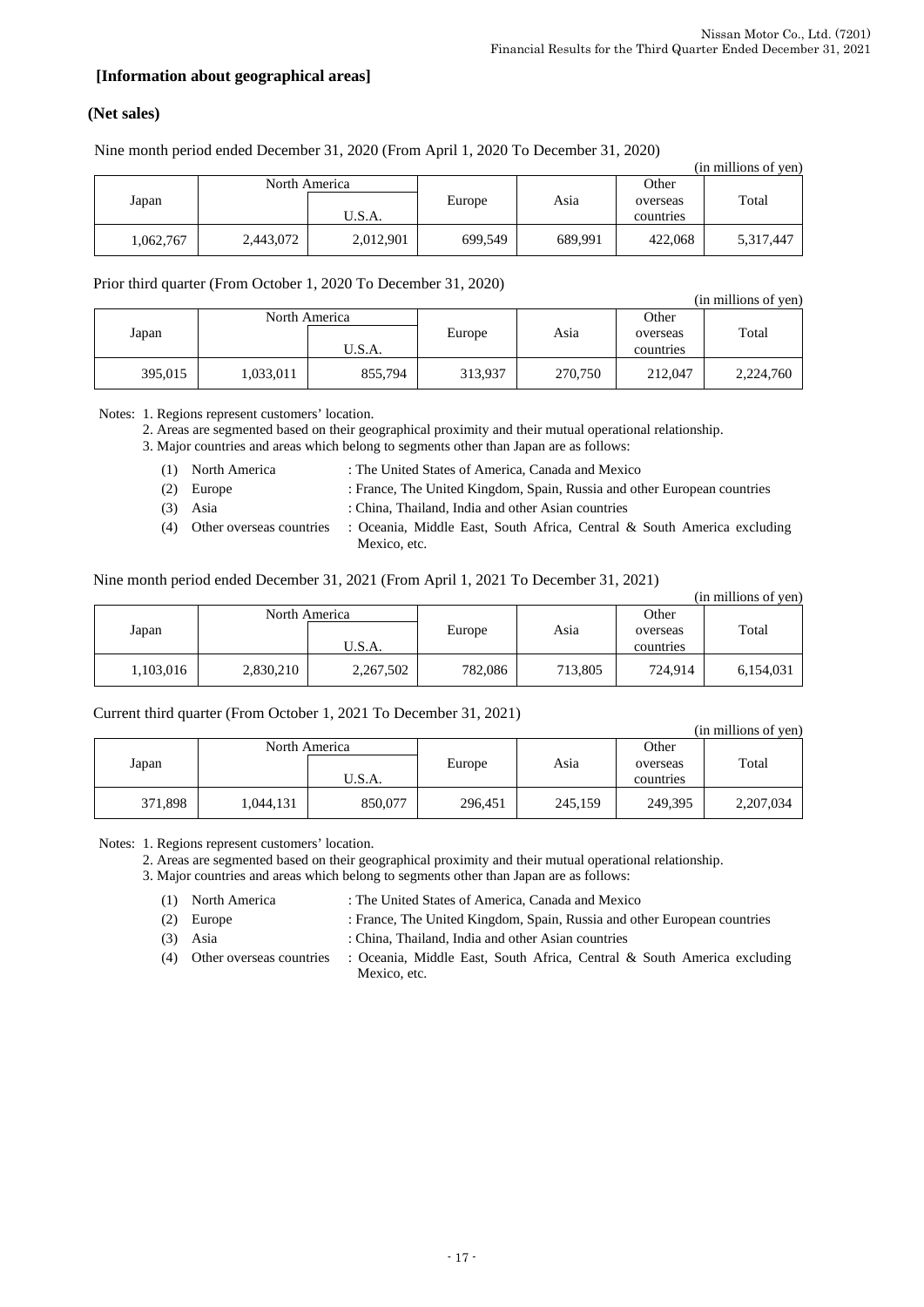# **[Information about geographical areas]**

# **(Net sales)**

Nine month period ended December 31, 2020 (From April 1, 2020 To December 31, 2020)

|           |           |               |         |         |           | (in millions of yen) |
|-----------|-----------|---------------|---------|---------|-----------|----------------------|
|           |           | North America |         |         | Other     |                      |
| Japan     |           |               | Europe  | Asia    | overseas  | Total                |
|           |           | U.S.A.        |         |         | countries |                      |
| 1,062,767 | 2,443,072 | 2,012,901     | 699,549 | 689.991 | 422,068   | 5,317,447            |

Prior third quarter (From October 1, 2020 To December 31, 2020)

|         | $1.1101$ and good $V_{\rm L}$ (110.11 $\sim$ 0.1000 at 1) = 0.000 1000 at 0.110.000 0.110.000 0.11 |               |         |         |                   | (in millions of yen) |  |
|---------|----------------------------------------------------------------------------------------------------|---------------|---------|---------|-------------------|----------------------|--|
| Japan   |                                                                                                    | North America |         | Asia    | Other<br>overseas | Total                |  |
|         |                                                                                                    | U.S.A.        |         |         | countries         |                      |  |
| 395,015 | 1,033,011                                                                                          | 855,794       | 313,937 | 270,750 | 212,047           | 2,224,760            |  |

Notes: 1. Regions represent customers' location.

2. Areas are segmented based on their geographical proximity and their mutual operational relationship.

3. Major countries and areas which belong to segments other than Japan are as follows:

|        | (1) North America | : The United States of America, Canada and Mexico                        |
|--------|-------------------|--------------------------------------------------------------------------|
|        | $(2)$ Europe      | : France, The United Kingdom, Spain, Russia and other European countries |
| $\sim$ |                   |                                                                          |

- (3) Asia : China, Thailand, India and other Asian countries
- (4) Other overseas countries : Oceania, Middle East, South Africa, Central & South America excluding
	- Mexico, etc.

#### Nine month period ended December 31, 2021 (From April 1, 2021 To December 31, 2021)

|           |               |           |         |         |           | (in millions of yen) |
|-----------|---------------|-----------|---------|---------|-----------|----------------------|
|           | North America |           |         |         | Other     |                      |
| Japan     |               |           | Europe  | Asia    | overseas  | Total                |
|           |               | U.S.A.    |         |         | countries |                      |
| 1,103,016 | 2,830,210     | 2,267,502 | 782,086 | 713,805 | 724.914   | 6,154,031            |

#### Current third quarter (From October 1, 2021 To December 31, 2021)

|         |           |               |         |         |           | (in millions of yen) |
|---------|-----------|---------------|---------|---------|-----------|----------------------|
|         |           | North America |         |         | Other     |                      |
| Japan   |           |               | Europe  | Asia    | overseas  | Total                |
|         |           | U.S.A.        |         |         | countries |                      |
| 371,898 | 1,044,131 | 850,077       | 296,451 | 245,159 | 249,395   | 2,207,034            |

Notes: 1. Regions represent customers' location.

2. Areas are segmented based on their geographical proximity and their mutual operational relationship.

3. Major countries and areas which belong to segments other than Japan are as follows:

(1) North America : The United States of America, Canada and Mexico

(2) Europe : France, The United Kingdom, Spain, Russia and other European countries

(3) Asia : China, Thailand, India and other Asian countries

(4) Other overseas countries : Oceania, Middle East, South Africa, Central & South America excluding Mexico, etc.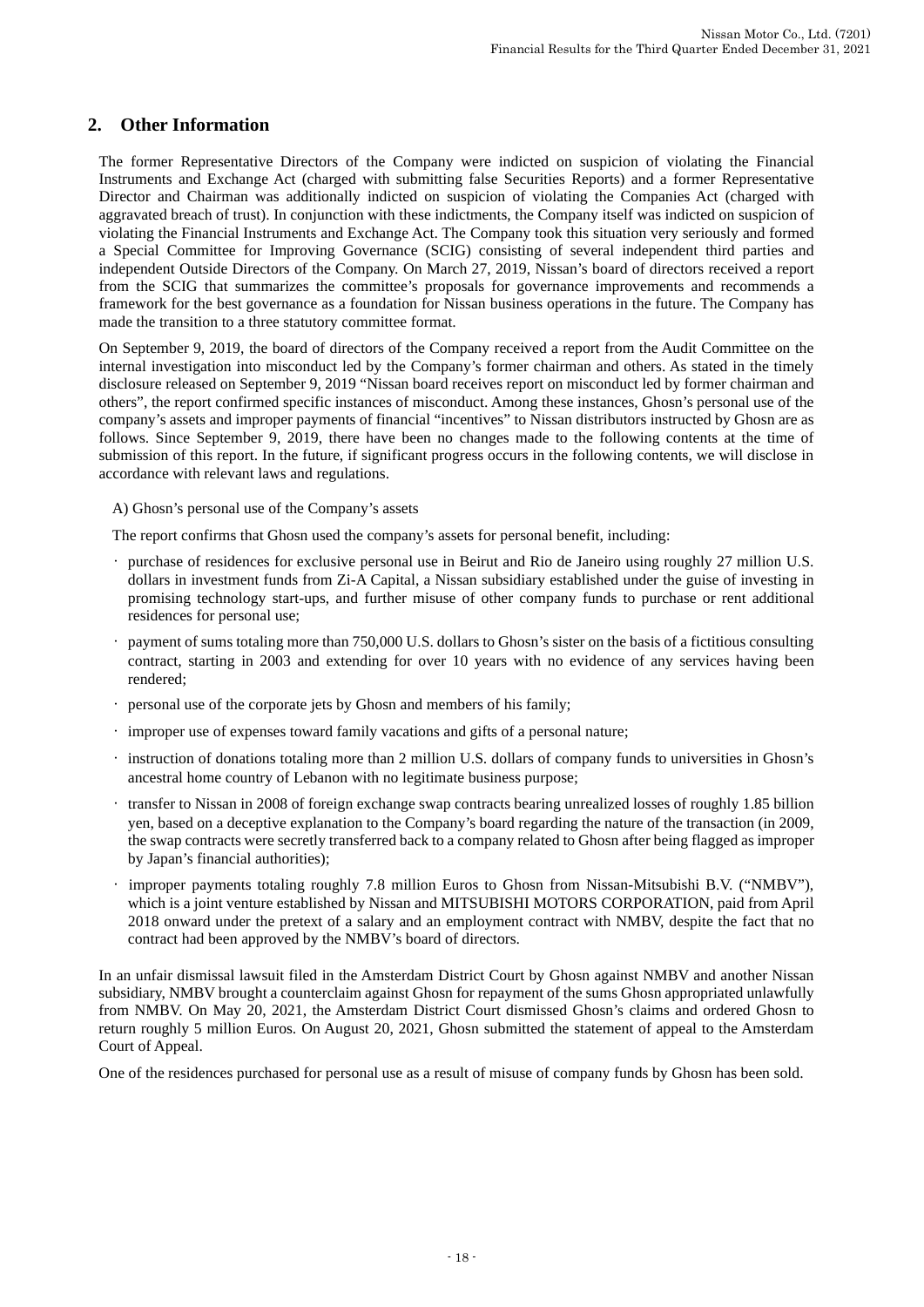# **2. Other Information**

The former Representative Directors of the Company were indicted on suspicion of violating the Financial Instruments and Exchange Act (charged with submitting false Securities Reports) and a former Representative Director and Chairman was additionally indicted on suspicion of violating the Companies Act (charged with aggravated breach of trust). In conjunction with these indictments, the Company itself was indicted on suspicion of violating the Financial Instruments and Exchange Act. The Company took this situation very seriously and formed a Special Committee for Improving Governance (SCIG) consisting of several independent third parties and independent Outside Directors of the Company. On March 27, 2019, Nissan's board of directors received a report from the SCIG that summarizes the committee's proposals for governance improvements and recommends a framework for the best governance as a foundation for Nissan business operations in the future. The Company has made the transition to a three statutory committee format.

On September 9, 2019, the board of directors of the Company received a report from the Audit Committee on the internal investigation into misconduct led by the Company's former chairman and others. As stated in the timely disclosure released on September 9, 2019 "Nissan board receives report on misconduct led by former chairman and others", the report confirmed specific instances of misconduct. Among these instances, Ghosn's personal use of the company's assets and improper payments of financial "incentives" to Nissan distributors instructed by Ghosn are as follows. Since September 9, 2019, there have been no changes made to the following contents at the time of submission of this report. In the future, if significant progress occurs in the following contents, we will disclose in accordance with relevant laws and regulations.

A) Ghosn's personal use of the Company's assets

The report confirms that Ghosn used the company's assets for personal benefit, including:

- purchase of residences for exclusive personal use in Beirut and Rio de Janeiro using roughly 27 million U.S. dollars in investment funds from Zi-A Capital, a Nissan subsidiary established under the guise of investing in promising technology start-ups, and further misuse of other company funds to purchase or rent additional residences for personal use;
- payment of sums totaling more than 750,000 U.S. dollars to Ghosn's sister on the basis of a fictitious consulting contract, starting in 2003 and extending for over 10 years with no evidence of any services having been rendered;
- personal use of the corporate jets by Ghosn and members of his family;
- improper use of expenses toward family vacations and gifts of a personal nature;
- instruction of donations totaling more than 2 million U.S. dollars of company funds to universities in Ghosn's ancestral home country of Lebanon with no legitimate business purpose;
- transfer to Nissan in 2008 of foreign exchange swap contracts bearing unrealized losses of roughly 1.85 billion yen, based on a deceptive explanation to the Company's board regarding the nature of the transaction (in 2009, the swap contracts were secretly transferred back to a company related to Ghosn after being flagged as improper by Japan's financial authorities);
- improper payments totaling roughly 7.8 million Euros to Ghosn from Nissan-Mitsubishi B.V. ("NMBV"), which is a joint venture established by Nissan and MITSUBISHI MOTORS CORPORATION, paid from April 2018 onward under the pretext of a salary and an employment contract with NMBV, despite the fact that no contract had been approved by the NMBV's board of directors.

In an unfair dismissal lawsuit filed in the Amsterdam District Court by Ghosn against NMBV and another Nissan subsidiary, NMBV brought a counterclaim against Ghosn for repayment of the sums Ghosn appropriated unlawfully from NMBV. On May 20, 2021, the Amsterdam District Court dismissed Ghosn's claims and ordered Ghosn to return roughly 5 million Euros. On August 20, 2021, Ghosn submitted the statement of appeal to the Amsterdam Court of Appeal.

One of the residences purchased for personal use as a result of misuse of company funds by Ghosn has been sold.